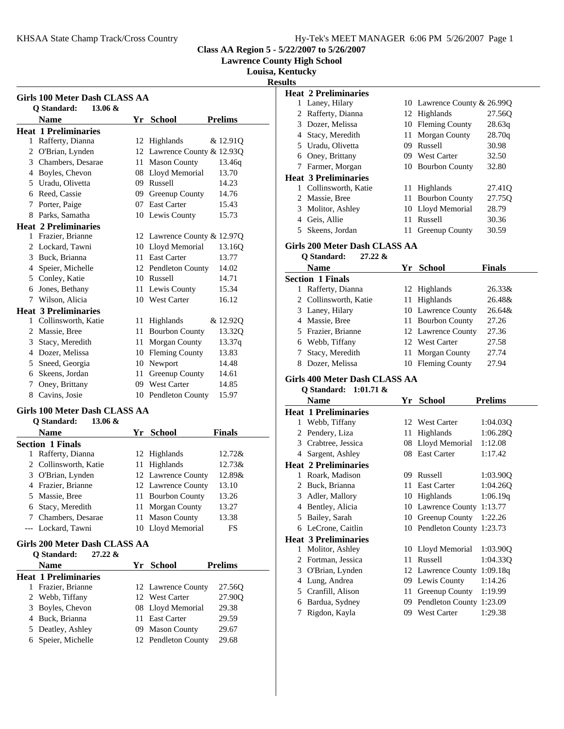**Lawrence County High School**

**Louisa, Kentucky**

**Resu** 

| Girls 100 Meter Dash CLASS AA                             |                                                 |    |                             |                |
|-----------------------------------------------------------|-------------------------------------------------|----|-----------------------------|----------------|
|                                                           | $13.06 \&$<br><b>Q</b> Standard:<br><b>Name</b> |    | Yr School                   | <b>Prelims</b> |
|                                                           | <b>Heat 1 Preliminaries</b>                     |    |                             |                |
|                                                           | 1 Rafferty, Dianna                              | 12 | Highlands                   | & 12.91Q       |
|                                                           | 2 O'Brian, Lynden                               |    | 12 Lawrence County & 12.93Q |                |
|                                                           | 3 Chambers, Desarae                             | 11 | <b>Mason County</b>         | 13.46g         |
|                                                           | 4 Boyles, Chevon                                | 08 | Lloyd Memorial              | 13.70          |
|                                                           | 5 Uradu, Olivetta                               |    | 09 Russell                  | 14.23          |
|                                                           | 6 Reed, Cassie                                  | 09 | Greenup County              | 14.76          |
|                                                           | 7 Porter, Paige                                 |    | 07 East Carter              | 15.43          |
|                                                           | 8 Parks, Samatha                                |    | 10 Lewis County             | 15.73          |
|                                                           | <b>Heat 2 Preliminaries</b>                     |    |                             |                |
| $\mathbf{1}$                                              | Frazier, Brianne                                |    | 12 Lawrence County & 12.97Q |                |
| 2                                                         | Lockard, Tawni                                  |    | 10 Lloyd Memorial           | 13.160         |
|                                                           | 3 Buck, Brianna                                 | 11 | <b>East Carter</b>          | 13.77          |
|                                                           | 4 Speier, Michelle                              |    | 12 Pendleton County         | 14.02          |
|                                                           | 5 Conley, Katie                                 |    | 10 Russell                  | 14.71          |
|                                                           | 6 Jones, Bethany                                |    | 11 Lewis County             | 15.34          |
|                                                           | 7 Wilson, Alicia                                |    | 10 West Carter              | 16.12          |
|                                                           | <b>Heat 3 Preliminaries</b>                     |    |                             |                |
|                                                           | 1 Collinsworth, Katie                           | 11 | Highlands                   | & 12.920       |
|                                                           | 2 Massie, Bree                                  | 11 | <b>Bourbon County</b>       | 13.32Q         |
|                                                           | 3 Stacy, Meredith                               | 11 | Morgan County               | 13.37q         |
|                                                           | 4 Dozer, Melissa                                |    | 10 Fleming County           | 13.83          |
|                                                           | 5 Sneed, Georgia                                | 10 | Newport                     | 14.48          |
|                                                           | 6 Skeens, Jordan                                | 11 | Greenup County              | 14.61          |
| 7                                                         | Oney, Brittany                                  |    | 09 West Carter              | 14.85          |
|                                                           | 8 Cavins, Josie                                 |    | 10 Pendleton County         | 15.97          |
| Girls 100 Meter Dash CLASS AA<br>O Standard:<br>13.06 $&$ |                                                 |    |                             |                |

|   | v bianuai u.<br>19.VV W |                    |               |
|---|-------------------------|--------------------|---------------|
|   | <b>Name</b>             | Yr School          | <b>Finals</b> |
|   | <b>Section 1 Finals</b> |                    |               |
| 1 | Rafferty, Dianna        | 12 Highlands       | 12.72&        |
|   | 2 Collinsworth, Katie   | 11 Highlands       | 12.73&        |
|   | 3 O'Brian, Lynden       | 12 Lawrence County | 12.89&        |
|   | 4 Frazier, Brianne      | 12 Lawrence County | 13.10         |
|   | 5 Massie, Bree          | 11 Bourbon County  | 13.26         |
|   | 6 Stacy, Meredith       | 11 Morgan County   | 13.27         |
|   | 7 Chambers, Desarae     | 11 Mason County    | 13.38         |
|   | --- Lockard, Tawni      | 10 Lloyd Memorial  | FS            |
|   |                         |                    |               |

#### **Girls 200 Meter Dash CLASS AA Q Standard: 27.22 &**

| O Standard:<br>41.44 Q      |                     |                |
|-----------------------------|---------------------|----------------|
| <b>Name</b>                 | Yr School           | <b>Prelims</b> |
| <b>Heat 1 Preliminaries</b> |                     |                |
| Frazier, Brianne            | 12 Lawrence County  | 27.560         |
| 2 Webb, Tiffany             | 12 West Carter      | 27.90O         |
| 3 Boyles, Chevon            | 08 Lloyd Memorial   | 29.38          |
| 4 Buck, Brianna             | 11 East Carter      | 29.59          |
| 5 Deatley, Ashley           | 09 Mason County     | 29.67          |
| 6 Speier, Michelle          | 12 Pendleton County | 29.68          |

| ults |                                      |    |                             |                |
|------|--------------------------------------|----|-----------------------------|----------------|
|      | <b>Heat 2 Preliminaries</b>          |    |                             |                |
|      | 1 Laney, Hilary                      |    | 10 Lawrence County & 26.99Q |                |
|      | 2 Rafferty, Dianna                   |    | 12 Highlands                | 27.56Q         |
|      | 3 Dozer, Melissa                     |    | 10 Fleming County           | 28.63q         |
|      | 4 Stacy, Meredith                    |    | 11 Morgan County            | 28.70q         |
|      | 5 Uradu, Olivetta                    |    | 09 Russell                  | 30.98          |
|      | 6 Oney, Brittany                     |    | 09 West Carter              | 32.50          |
|      | 7 Farmer, Morgan                     |    | 10 Bourbon County           | 32.80          |
|      | <b>Heat 3 Preliminaries</b>          |    |                             |                |
|      | 1 Collinsworth, Katie                |    | 11 Highlands                | 27.41Q         |
|      | 2 Massie, Bree                       |    | 11 Bourbon County           | 27.75Q         |
|      | 3 Molitor, Ashley                    |    | 10 Lloyd Memorial           | 28.79          |
|      | 4 Geis, Allie                        | 11 | Russell                     | 30.36          |
|      | 5 Skeens, Jordan                     |    | 11 Greenup County           | 30.59          |
|      | <b>Girls 200 Meter Dash CLASS AA</b> |    |                             |                |
|      | <b>Q</b> Standard:<br>$27.22 \&$     |    |                             |                |
|      | <b>Name</b>                          | Yr | School                      | <b>Finals</b>  |
|      | <b>Section 1 Finals</b>              |    |                             |                |
|      | 1 Rafferty, Dianna                   |    | 12 Highlands                | 26.33&         |
|      | 2 Collinsworth, Katie                |    | 11 Highlands                | 26.48&         |
|      | 3 Laney, Hilary                      |    | 10 Lawrence County          | 26.64&         |
|      | 4 Massie, Bree                       |    | 11 Bourbon County           | 27.26          |
|      | 5 Frazier, Brianne                   |    | 12 Lawrence County          | 27.36          |
|      | 6 Webb, Tiffany                      |    | 12 West Carter              | 27.58          |
|      | 7 Stacy, Meredith                    |    | 11 Morgan County            | 27.74          |
|      | 8 Dozer, Melissa                     |    | 10 Fleming County           | 27.94          |
|      |                                      |    |                             |                |
|      | Girls 400 Meter Dash CLASS AA        |    |                             |                |
|      | Q Standard:<br>$1:01.71 \&$          |    |                             |                |
|      | <b>Name</b>                          |    | Yr School                   | <b>Prelims</b> |
|      | <b>Heat 1 Preliminaries</b>          |    |                             |                |
|      | 1 Webb, Tiffany                      |    | 12 West Carter              | 1:04.03Q       |
|      | 2 Pendery, Liza                      |    | 11 Highlands                | 1:06.28Q       |
|      | 3 Crabtree, Jessica                  |    | 08 Lloyd Memorial           | 1:12.08        |
|      | 4 Sargent, Ashley                    |    | 08 East Carter              | 1:17.42        |
|      | <b>Heat 2 Preliminaries</b>          |    |                             |                |
|      | 1 Roark, Madison                     |    | 09 Russell                  | 1:03.90Q       |
|      | 2 Buck, Brianna                      |    | 11 East Carter              | 1:04.26Q       |
| 3    | Adler, Mallory                       |    | 10 Highlands                | 1:06.19q       |
|      | 4 Bentley, Alicia                    | 10 | <b>Lawrence County</b>      | 1:13.77        |
| 5    | Bailey, Sarah                        | 10 | Greenup County              | 1:22.26        |
| 6    | LeCrone, Caitlin                     |    | 10 Pendleton County         | 1:23.73        |
|      | <b>Heat 3 Preliminaries</b>          |    |                             |                |
| 1    | Molitor, Ashley                      |    | 10 Lloyd Memorial           | 1:03.90Q       |
| 2    | Fortman, Jessica                     | 11 | Russell                     | 1:04.33Q       |
|      | 3 O'Brian, Lynden                    | 12 | <b>Lawrence County</b>      | 1:09.18q       |
|      | 4 Lung, Andrea                       |    | 09 Lewis County             | 1:14.26        |
| 5    | Cranfill, Alison                     | 11 | Greenup County              | 1:19.99        |
| 6    | Bardua, Sydney<br>Rigdon, Kayla      | 09 | Pendleton County 1:23.09    |                |
| 7    |                                      | 09 | West Carter                 | 1:29.38        |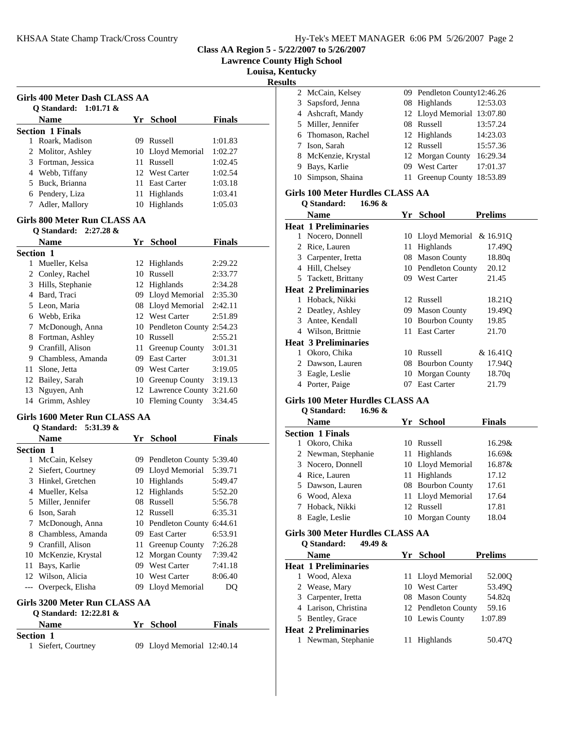|  | Hy-Tek's MEET MANAGER 6:06 PM 5/26/2007 Page 2 |  |  |
|--|------------------------------------------------|--|--|
|  |                                                |  |  |

**Lawrence County High School**

**Louisa, Kentucky**

**Results**

| Girls 400 Meter Dash CLASS AA<br>O Standard: $1:01.71 \&$ |     |                   |               |
|-----------------------------------------------------------|-----|-------------------|---------------|
| <b>Name</b>                                               |     | Yr School         | <b>Finals</b> |
| <b>Section 1 Finals</b>                                   |     |                   |               |
| Roark, Madison<br>1                                       | 09. | Russell           | 1:01.83       |
| 2 Molitor, Ashley                                         |     | 10 Lloyd Memorial | 1:02.27       |
| 3 Fortman, Jessica                                        |     | 11 Russell        | 1:02.45       |
| 4 Webb, Tiffany                                           |     | 12 West Carter    | 1:02.54       |
| 5 Buck, Brianna                                           |     | 11 East Carter    | 1:03.18       |
| 6 Pendery, Liza                                           |     | 11 Highlands      | 1:03.41       |
| Adler, Mallory                                            | 10  | Highlands         | 1:05.03       |

#### **Girls 800 Meter Run CLASS AA Q Standard: 2:27.28 &**

|                  | $\sigma$ Standard: 4:41.40 $\alpha$ |     |                       |               |
|------------------|-------------------------------------|-----|-----------------------|---------------|
|                  | <b>Name</b>                         | Yr  | <b>School</b>         | <b>Finals</b> |
| <b>Section 1</b> |                                     |     |                       |               |
| 1                | Mueller, Kelsa                      |     | 12 Highlands          | 2:29.22       |
|                  | 2 Conley, Rachel                    | 10  | Russell               | 2:33.77       |
| 3                | Hills, Stephanie                    |     | 12 Highlands          | 2:34.28       |
| 4                | Bard, Traci                         | 09. | Lloyd Memorial        | 2:35.30       |
| 5                | Leon, Maria                         |     | 08 Lloyd Memorial     | 2:42.11       |
| 6                | Webb, Erika                         |     | 12 West Carter        | 2:51.89       |
| 7                | McDonough, Anna                     |     | 10 Pendleton County   | 2:54.23       |
| 8                | Fortman, Ashley                     | 10  | Russell               | 2:55.21       |
| 9                | Cranfill, Alison                    | 11. | Greenup County        | 3:01.31       |
| 9                | Chambless, Amanda                   | 09  | <b>East Carter</b>    | 3:01.31       |
| 11               | Slone, Jetta                        | 09. | West Carter           | 3:19.05       |
| 12               | Bailey, Sarah                       | 10  | Greenup County        | 3:19.13       |
| 13               | Nguyen, Anh                         |     | 12 Lawrence County    | 3:21.60       |
| 14               | Grimm, Ashley                       | 10  | <b>Fleming County</b> | 3:34.45       |

# **Girls 1600 Meter Run CLASS AA**

#### **Q Standard: 5:31.39 &**

|           | <b>Name</b>       | Yr  | School                   | <b>Finals</b> |  |
|-----------|-------------------|-----|--------------------------|---------------|--|
| Section 1 |                   |     |                          |               |  |
| 1         | McCain, Kelsey    | 09. | Pendleton County 5:39.40 |               |  |
| 2         | Siefert, Courtney | 09. | Lloyd Memorial           | 5:39.71       |  |
| 3         | Hinkel, Gretchen  | 10  | Highlands                | 5:49.47       |  |
| 4         | Mueller, Kelsa    | 12  | Highlands                | 5:52.20       |  |
| 5         | Miller, Jennifer  | 08  | Russell                  | 5:56.78       |  |
| 6         | Ison, Sarah       |     | 12 Russell               | 6:35.31       |  |
| 7         | McDonough, Anna   |     | 10 Pendleton County      | 6:44.61       |  |
| 8         | Chambless, Amanda | 09. | <b>East Carter</b>       | 6:53.91       |  |
| 9         | Cranfill, Alison  | 11. | <b>Greenup County</b>    | 7:26.28       |  |
| 10        | McKenzie, Krystal | 12  | <b>Morgan County</b>     | 7:39.42       |  |
| 11        | Bays, Karlie      | 09. | <b>West Carter</b>       | 7:41.18       |  |
| 12        | Wilson, Alicia    | 10  | West Carter              | 8:06.40       |  |
|           | Overpeck, Elisha  | 09  | Lloyd Memorial           | DO            |  |
|           |                   |     |                          |               |  |

# **Girls 3200 Meter Run CLASS AA**

## **Q Standard: 12:22.81 &**

| <b>Name</b>         | Yr School                  | <b>Finals</b> |  |
|---------------------|----------------------------|---------------|--|
| <b>Section 1</b>    |                            |               |  |
| 1 Siefert, Courtney | 09 Lloyd Memorial 12:40.14 |               |  |

| ᅛ |                     |                             |          |
|---|---------------------|-----------------------------|----------|
|   | 2 McCain, Kelsey    | 09 Pendleton County12:46.26 |          |
|   | 3 Sapsford, Jenna   | 08 Highlands                | 12:53.03 |
|   | 4 Ashcraft, Mandy   | 12 Lloyd Memorial 13:07.80  |          |
|   | 5 Miller, Jennifer  | 08 Russell                  | 13:57.24 |
|   | 6 Thomason, Rachel  | 12 Highlands                | 14:23.03 |
|   | 7 Ison, Sarah       | 12 Russell                  | 15:57.36 |
|   | 8 McKenzie, Krystal | 12 Morgan County            | 16:29.34 |
|   | 9 Bays, Karlie      | 09 West Carter              | 17:01.37 |
|   | 10 Simpson, Shaina  | 11 Greenup County 18:53.89  |          |

# **Girls 100 Meter Hurdles CLASS AA**

|    | 16.96 &<br>Q Standard:      |     |                            |                    |
|----|-----------------------------|-----|----------------------------|--------------------|
|    | Name                        |     | Yr School                  | <b>Prelims</b>     |
|    | <b>Heat 1 Preliminaries</b> |     |                            |                    |
| L  | Nocero, Donnell             |     | 10 Lloyd Memorial & 16.91Q |                    |
| 2  | Rice, Lauren                | 11  | <b>Highlands</b>           | 17.49Q             |
| 3  | Carpenter, Iretta           | 08  | <b>Mason County</b>        | 18.80q             |
| 4  | Hill, Chelsey               |     | 10 Pendleton County        | 20.12              |
| 5. | Tackett, Brittany           |     | 09 West Carter             | 21.45              |
|    | <b>Heat 2 Preliminaries</b> |     |                            |                    |
| 1  | Hoback, Nikki               |     | 12 Russell                 | 18.21Q             |
| 2  | Deatley, Ashley             | 09. | <b>Mason County</b>        | 19.49 <sub>O</sub> |
| 3  | Antee, Kendall              |     | 10 Bourbon County          | 19.85              |
| 4  | Wilson, Brittnie            |     | 11 East Carter             | 21.70              |
|    | <b>Heat 3 Preliminaries</b> |     |                            |                    |
| 1  | Okoro, Chika                | 10  | Russell                    | & 16.410           |
| 2  | Dawson, Lauren              | 08  | <b>Bourbon County</b>      | 17.94Q             |
| 3  | Eagle, Leslie               | 10  | <b>Morgan County</b>       | 18.70q             |
| 4  | Porter, Paige               | OZ. | East Carter                | 21.79              |

# **Girls 100 Meter Hurdles CLASS AA**

## **Q Standard: 16.96 &**

| <b>Name</b>             | Yr. | School            | <b>Finals</b> |
|-------------------------|-----|-------------------|---------------|
| <b>Section 1 Finals</b> |     |                   |               |
| Okoro, Chika            |     | 10 Russell        | 16.29&        |
| 2 Newman, Stephanie     |     | 11 Highlands      | 16.69&        |
| 3 Nocero, Donnell       |     | 10 Lloyd Memorial | $16.87\&$     |
| 4 Rice, Lauren          |     | 11 Highlands      | 17.12         |
| 5 Dawson, Lauren        |     | 08 Bourbon County | 17.61         |
| 6 Wood, Alexa           |     | 11 Lloyd Memorial | 17.64         |
| 7 Hoback, Nikki         |     | 12 Russell        | 17.81         |
| Eagle, Leslie           |     | 10 Morgan County  | 18.04         |

# **Girls 300 Meter Hurdles CLASS AA**

|   | 49.49 $\&$<br>O Standard:   |                     |                |
|---|-----------------------------|---------------------|----------------|
|   | <b>Name</b>                 | Yr School           | <b>Prelims</b> |
|   | <b>Heat 1 Preliminaries</b> |                     |                |
| L | Wood, Alexa                 | 11 Lloyd Memorial   | 52.00Q         |
|   | 2 Wease, Mary               | 10 West Carter      | 53.490         |
|   | 3 Carpenter, Iretta         | 08 Mason County     | 54.82q         |
|   | 4 Larison, Christina        | 12 Pendleton County | 59.16          |
|   | 5 Bentley, Grace            | 10 Lewis County     | 1:07.89        |
|   | <b>Heat 2 Preliminaries</b> |                     |                |
|   | Newman, Stephanie           | Highlands           | 50.47O         |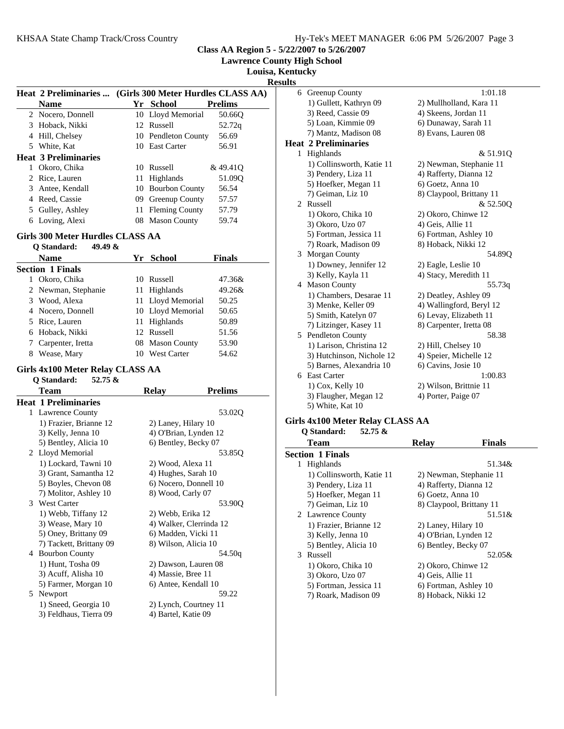**Lawrence County High School**

**Louisa, Kentucky**

**Results**

|    | Heat 2 Preliminaries        |    | (Girls 300 Meter Hurdles CLASS AA) |                |
|----|-----------------------------|----|------------------------------------|----------------|
|    | <b>Name</b>                 |    | Yr School                          | <b>Prelims</b> |
|    | 2 Nocero, Donnell           |    | 10 Lloyd Memorial                  | 50.660         |
| 3  | Hoback, Nikki               |    | 12 Russell                         | 52.72q         |
| 4  | Hill, Chelsey               |    | 10 Pendleton County                | 56.69          |
| 5. | White, Kat                  |    | 10 East Carter                     | 56.91          |
|    | <b>Heat 3 Preliminaries</b> |    |                                    |                |
|    | Okoro, Chika                | 10 | Russell                            | &49.410        |
| 2  | Rice, Lauren                | 11 | Highlands                          | 51.090         |
| 3  | Antee, Kendall              | 10 | <b>Bourbon County</b>              | 56.54          |
| 4  | Reed, Cassie                | 09 | Greenup County                     | 57.57          |
| 5. | Gulley, Ashley              |    | 11 Fleming County                  | 57.79          |
| 6  | Loving, Alexi               | 08 | <b>Mason County</b>                | 59.74          |

### **Girls 300 Meter Hurdles CLASS AA**

| 49.49 &<br>O Standard:  |    |                    |               |
|-------------------------|----|--------------------|---------------|
| <b>Name</b>             |    | Yr School          | <b>Finals</b> |
| <b>Section 1 Finals</b> |    |                    |               |
| Okoro, Chika            |    | 10 Russell         | 47.36&        |
| 2 Newman, Stephanie     |    | 11 Highlands       | 49.26&        |
| 3 Wood, Alexa           |    | 11 Lloyd Memorial  | 50.25         |
| 4 Nocero, Donnell       |    | 10 Lloyd Memorial  | 50.65         |
| 5 Rice, Lauren          |    | 11 Highlands       | 50.89         |
| 6 Hoback, Nikki         |    | 12 Russell         | 51.56         |
| Carpenter, Iretta       |    | 08 Mason County    | 53.90         |
| Wease, Mary<br>8        | 10 | <b>West Carter</b> | 54.62         |

#### **Girls 4x100 Meter Relay CLASS AA**

|   | Q Standard:<br>$52.75 \&$ |                         |                |
|---|---------------------------|-------------------------|----------------|
|   | Team                      | <b>Relay</b>            | <b>Prelims</b> |
|   | Heat 1 Preliminaries      |                         |                |
|   | 1 Lawrence County         |                         | 53.02Q         |
|   | 1) Frazier, Brianne 12    | 2) Laney, Hilary 10     |                |
|   | 3) Kelly, Jenna 10        | 4) O'Brian, Lynden 12   |                |
|   | 5) Bentley, Alicia 10     | 6) Bentley, Becky 07    |                |
|   | 2 Lloyd Memorial          |                         | 53.85Q         |
|   | 1) Lockard, Tawni 10      | 2) Wood, Alexa 11       |                |
|   | 3) Grant, Samantha 12     | 4) Hughes, Sarah 10     |                |
|   | 5) Boyles, Chevon 08      | 6) Nocero, Donnell 10   |                |
|   | 7) Molitor, Ashley 10     | 8) Wood, Carly 07       |                |
|   | 3 West Carter             |                         | 53.90Q         |
|   | 1) Webb, Tiffany 12       | 2) Webb, Erika 12       |                |
|   | 3) Wease, Mary 10         | 4) Walker, Clerrinda 12 |                |
|   | 5) Oney, Brittany 09      | 6) Madden, Vicki 11     |                |
|   | 7) Tackett, Brittany 09   | 8) Wilson, Alicia 10    |                |
| 4 | <b>Bourbon County</b>     |                         | 54.50g         |
|   | 1) Hunt, Tosha 09         | 2) Dawson, Lauren 08    |                |
|   | 3) Acuff, Alisha 10       | 4) Massie, Bree 11      |                |
|   | 5) Farmer, Morgan 10      | 6) Antee, Kendall 10    |                |
| 5 | Newport                   |                         | 59.22          |
|   | 1) Sneed, Georgia 10      | 2) Lynch, Courtney 11   |                |
|   | 3) Feldhaus, Tierra 09    | 4) Bartel, Katie 09     |                |
|   |                           |                         |                |

|   | 6 Greenup County            | 1:01.18                  |
|---|-----------------------------|--------------------------|
|   | 1) Gullett, Kathryn 09      | 2) Mullholland, Kara 11  |
|   | 3) Reed, Cassie 09          | 4) Skeens, Jordan 11     |
|   | 5) Loan, Kimmie 09          | 6) Dunaway, Sarah 11     |
|   | 7) Mantz, Madison 08        | 8) Evans, Lauren 08      |
|   | <b>Heat 2 Preliminaries</b> |                          |
| 1 | Highlands                   | & 51.91Q                 |
|   | 1) Collinsworth, Katie 11   | 2) Newman, Stephanie 11  |
|   | 3) Pendery, Liza 11         | 4) Rafferty, Dianna 12   |
|   | 5) Hoefker, Megan 11        | 6) Goetz, Anna 10        |
|   | 7) Geiman, Liz 10           | 8) Claypool, Brittany 11 |
| 2 | Russell                     | & 52.50Q                 |
|   | 1) Okoro, Chika 10          | 2) Okoro, Chinwe 12      |
|   | 3) Okoro, Uzo 07            | 4) Geis, Allie 11        |
|   | 5) Fortman, Jessica 11      | 6) Fortman, Ashley 10    |
|   | 7) Roark, Madison 09        | 8) Hoback, Nikki 12      |
| 3 | Morgan County               | 54.890                   |
|   | 1) Downey, Jennifer 12      | 2) Eagle, Leslie 10      |
|   | 3) Kelly, Kayla 11          | 4) Stacy, Meredith 11    |
|   | 4 Mason County              | 55.73q                   |
|   | 1) Chambers, Desarae 11     | 2) Deatley, Ashley 09    |
|   | 3) Menke, Keller 09         | 4) Wallingford, Beryl 12 |
|   | 5) Smith, Katelyn 07        | 6) Levay, Elizabeth 11   |
|   | 7) Litzinger, Kasey 11      | 8) Carpenter, Iretta 08  |
|   | 5 Pendleton County          | 58.38                    |
|   | 1) Larison, Christina 12    | 2) Hill, Chelsey 10      |
|   | 3) Hutchinson, Nichole 12   | 4) Speier, Michelle 12   |
|   | 5) Barnes, Alexandria 10    | 6) Cavins, Josie 10      |
|   | 6 East Carter               | 1:00.83                  |
|   | 1) Cox, Kelly 10            | 2) Wilson, Brittnie 11   |
|   | 3) Flaugher, Megan 12       | 4) Porter, Paige 07      |
|   | 5) White, Kat 10            |                          |

# **Girls 4x100 Meter Relay CLASS AA**

**Q Standard: 52.75 &**

| <b>Team</b>               | Relay                    | <b>Finals</b>           |
|---------------------------|--------------------------|-------------------------|
| <b>Section 1 Finals</b>   |                          |                         |
| Highlands<br>1            |                          | 51.34&                  |
| 1) Collinsworth, Katie 11 |                          | 2) Newman, Stephanie 11 |
| 3) Pendery, Liza 11       | 4) Rafferty, Dianna 12   |                         |
| 5) Hoefker, Megan 11      | 6) Goetz, Anna 10        |                         |
| 7) Geiman, Liz 10         | 8) Claypool, Brittany 11 |                         |
| 2 Lawrence County         |                          | 51.51&                  |
| 1) Frazier, Brianne 12    | 2) Laney, Hilary 10      |                         |
| 3) Kelly, Jenna 10        | 4) O'Brian, Lynden 12    |                         |
| 5) Bentley, Alicia 10     | 6) Bentley, Becky 07     |                         |
| Russell<br>3              |                          | 52.05&                  |
| 1) Okoro, Chika 10        | 2) Okoro, Chinwe 12      |                         |
| 3) Okoro, Uzo 07          | 4) Geis, Allie 11        |                         |
| 5) Fortman, Jessica 11    | 6) Fortman, Ashley 10    |                         |
| 7) Roark, Madison 09      | 8) Hoback, Nikki 12      |                         |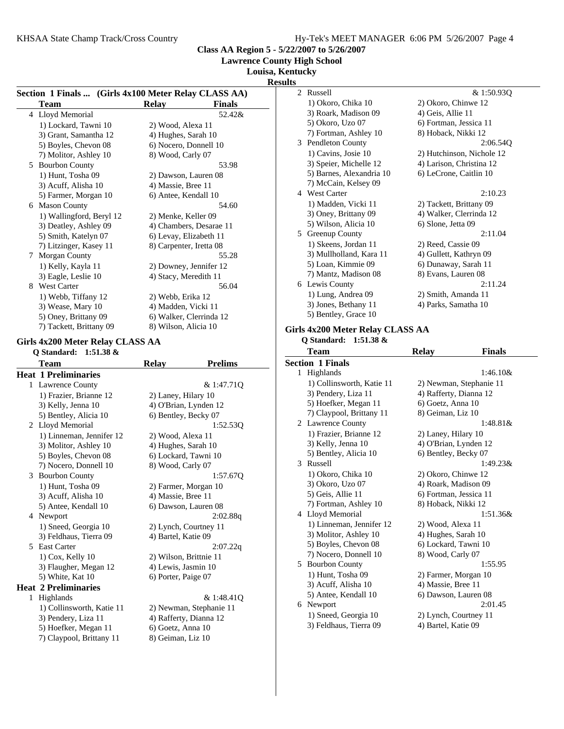**Lawrence County High School**

**Louisa, Kentucky**

**Results**

### **Section 1 Finals ... (Girls 4x100 Meter Relay CLASS AA)** Team Relay Finals 4 52.42& Lloyd Memorial 1) Lockard, Tawni 10 2) Wood, Alexa 11 3) Grant, Samantha 12 4) Hughes, Sarah 10 5) Boyles, Chevon 08 6) Nocero, Donnell 10 7) Molitor, Ashley 10 8) Wood, Carly 07 5 53.98 Bourbon County 1) Hunt, Tosha 09 2) Dawson, Lauren 08 3) Acuff, Alisha 10 4) Massie, Bree 11 5) Farmer, Morgan 10 6) Antee, Kendall 10 6 54.60 Mason County 1) Wallingford, Beryl 12 2) Menke, Keller 09 3) Deatley, Ashley 09 4) Chambers, Desarae 11 5) Smith, Katelyn 07 6) Levay, Elizabeth 11 7) Litzinger, Kasey 11 8) Carpenter, Iretta 08 7 55.28 Morgan County 1) Kelly, Kayla 11 2) Downey, Jennifer 12 3) Eagle, Leslie 10 4) Stacy, Meredith 11 8 56.04 West Carter 1) Webb, Tiffany 12 2) Webb, Erika 12 3) Wease, Mary 10 4) Madden, Vicki 11 5) Oney, Brittany 09 6) Walker, Clerrinda 12 7) Tackett, Brittany 09 8) Wilson, Alicia 10 **Girls 4x200 Meter Relay CLASS AA Q Standard: 1:51.38 &** Team Relay **Prelims Heat 1 Preliminaries** 1 & 1:47.71Q Lawrence County 1) Frazier, Brianne 12 2) Laney, Hilary 10 3) Kelly, Jenna 10 4) O'Brian, Lynden 12 5) Bentley, Alicia 10 6) Bentley, Becky 07 2 1:52.53Q Lloyd Memorial 1) Linneman, Jennifer 12 2) Wood, Alexa 11 3) Molitor, Ashley 10 4) Hughes, Sarah 10 5) Boyles, Chevon 08 6) Lockard, Tawni 10 7) Nocero, Donnell 10 8) Wood, Carly 07 3 1:57.67Q Bourbon County 1) Hunt, Tosha 09 2) Farmer, Morgan 10 3) Acuff, Alisha 10 4) Massie, Bree 11 5) Antee, Kendall 10 6) Dawson, Lauren 08 4 2:02.88q Newport 1) Sneed, Georgia 10 2) Lynch, Courtney 11 3) Feldhaus, Tierra 09 4) Bartel, Katie 09 5 2:07.22q East Carter 1) Cox, Kelly 10 2) Wilson, Brittnie 11 3) Flaugher, Megan 12 4) Lewis, Jasmin 10 5) White, Kat 10 6) Porter, Paige 07 **Heat 2 Preliminaries** 1 Highlands & 1:48.41Q 1) Collinsworth, Katie 11 2) Newman, Stephanie 11 3) Pendery, Liza 11 4) Rafferty, Dianna 12 5) Hoefker, Megan 11 6) Goetz, Anna 10 7) Claypool, Brittany 11 8) Geiman, Liz 10

| ,  |                          |                           |
|----|--------------------------|---------------------------|
|    | 2. Russell               | & 1:50.930                |
|    | 1) Okoro, Chika 10       | 2) Okoro, Chinwe 12       |
|    | 3) Roark, Madison 09     | 4) Geis, Allie 11         |
|    | 5) Okoro, Uzo 07         | 6) Fortman, Jessica 11    |
|    | 7) Fortman, Ashley 10    | 8) Hoback, Nikki 12       |
| 3  | <b>Pendleton County</b>  | 2:06.540                  |
|    | 1) Cavins, Josie 10      | 2) Hutchinson, Nichole 12 |
|    | 3) Speier, Michelle 12   | 4) Larison, Christina 12  |
|    | 5) Barnes, Alexandria 10 | 6) LeCrone, Caitlin 10    |
|    | 7) McCain, Kelsey 09     |                           |
|    | 4 West Carter            | 2:10.23                   |
|    | 1) Madden, Vicki 11      | 2) Tackett, Brittany 09   |
|    | 3) Oney, Brittany 09     | 4) Walker, Clerrinda 12   |
|    | 5) Wilson, Alicia 10     | 6) Slone, Jetta 09        |
| 5. | Greenup County           | 2:11.04                   |
|    | 1) Skeens, Jordan 11     | 2) Reed, Cassie 09        |
|    | 3) Mullholland, Kara 11  | 4) Gullett, Kathryn 09    |
|    | 5) Loan, Kimmie 09       | 6) Dunaway, Sarah 11      |
|    | 7) Mantz, Madison 08     | 8) Evans, Lauren 08       |
|    | 6 Lewis County           | 2:11.24                   |
|    | 1) Lung, Andrea 09       | 2) Smith, Amanda 11       |
|    | 3) Jones, Bethany 11     | 4) Parks, Samatha 10      |
|    | 5) Bentley, Grace 10     |                           |

#### **Girls 4x200 Meter Relay CLASS AA**

**Q Standard: 1:51.38 &**

|   | Team                      | <b>Relay</b>            | <b>Finals</b> |  |
|---|---------------------------|-------------------------|---------------|--|
|   | Section 1 Finals          |                         |               |  |
|   | 1 Highlands               |                         | $1:46.10\&$   |  |
|   | 1) Collinsworth, Katie 11 | 2) Newman, Stephanie 11 |               |  |
|   | 3) Pendery, Liza 11       | 4) Rafferty, Dianna 12  |               |  |
|   | 5) Hoefker, Megan 11      | 6) Goetz, Anna 10       |               |  |
|   | 7) Claypool, Brittany 11  | 8) Geiman, Liz 10       |               |  |
| 2 | <b>Lawrence County</b>    |                         | $1:48.81\&$   |  |
|   | 1) Frazier, Brianne 12    | 2) Laney, Hilary 10     |               |  |
|   | 3) Kelly, Jenna 10        | 4) O'Brian, Lynden 12   |               |  |
|   | 5) Bentley, Alicia 10     | 6) Bentley, Becky 07    |               |  |
| 3 | Russell                   |                         | $1:49.23\&$   |  |
|   | 1) Okoro, Chika 10        | 2) Okoro, Chinwe 12     |               |  |
|   | 3) Okoro, Uzo 07          | 4) Roark, Madison 09    |               |  |
|   | 5) Geis, Allie 11         | 6) Fortman, Jessica 11  |               |  |
|   | 7) Fortman, Ashley 10     | 8) Hoback, Nikki 12     |               |  |
| 4 | Lloyd Memorial            |                         | 1:51.36&      |  |
|   | 1) Linneman, Jennifer 12  | 2) Wood, Alexa 11       |               |  |
|   | 3) Molitor, Ashley 10     | 4) Hughes, Sarah 10     |               |  |
|   | 5) Boyles, Chevon 08      | 6) Lockard, Tawni 10    |               |  |
|   | 7) Nocero, Donnell 10     | 8) Wood, Carly 07       |               |  |
| 5 | <b>Bourbon County</b>     |                         | 1:55.95       |  |
|   | 1) Hunt, Tosha 09         | 2) Farmer, Morgan 10    |               |  |
|   | 3) Acuff, Alisha 10       | 4) Massie, Bree 11      |               |  |
|   | 5) Antee, Kendall 10      | 6) Dawson, Lauren 08    |               |  |
| 6 | Newport                   |                         | 2:01.45       |  |
|   | 1) Sneed, Georgia 10      | 2) Lynch, Courtney 11   |               |  |
|   | 3) Feldhaus, Tierra 09    | 4) Bartel, Katie 09     |               |  |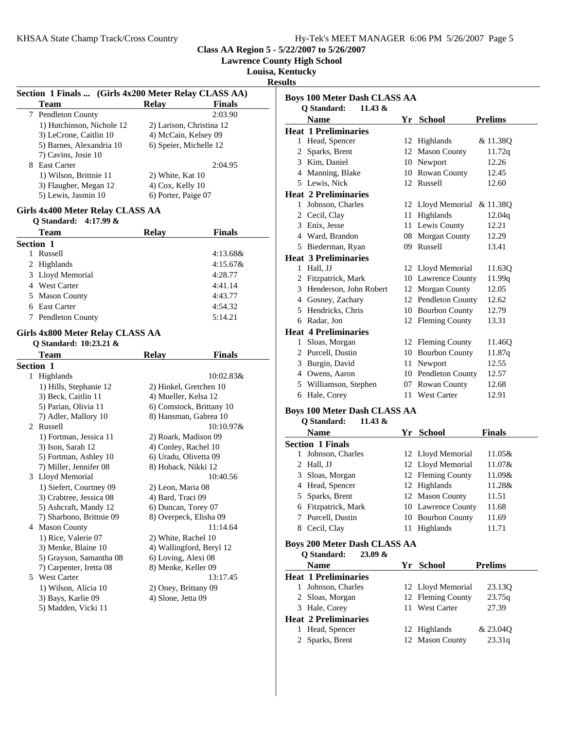**Lawrence County High School**

**Louisa, Kentucky**

**Results**

|    | Section 1 Finals  (Girls 4x200 Meter Relay CLASS AA) |                          |                          |
|----|------------------------------------------------------|--------------------------|--------------------------|
|    | <b>Team</b>                                          | <b>Relay</b>             | <b>Finals</b>            |
| 7  | Pendleton County                                     |                          | 2:03.90                  |
|    | 1) Hutchinson, Nichole 12                            | 2) Larison, Christina 12 |                          |
|    | 3) LeCrone, Caitlin 10                               | 4) McCain, Kelsey 09     |                          |
|    | 5) Barnes, Alexandria 10                             | 6) Speier, Michelle 12   |                          |
|    | 7) Cavins, Josie 10                                  |                          |                          |
| 8. | East Carter                                          |                          | 2:04.95                  |
|    | 1) Wilson, Brittnie 11                               | 2) White, Kat 10         |                          |
|    | 3) Flaugher, Megan 12                                | 4) Cox, Kelly 10         |                          |
|    | 5) Lewis, Jasmin 10                                  | 6) Porter, Paige 07      |                          |
|    | Girls 4x400 Meter Relay CLASS AA                     |                          |                          |
|    | Q Standard:<br>$4:17.99 \&$                          |                          |                          |
|    | <b>Team</b>                                          | <b>Relay</b>             | <b>Finals</b>            |
|    | Section 1                                            |                          |                          |
| 1  | Russell                                              |                          | $4:13.68\&$              |
|    | 2 Highlands                                          |                          | 4:15.67&                 |
|    | 3 Lloyd Memorial                                     |                          | 4:28.77                  |
|    | 4 West Carter                                        |                          | 4:41.14                  |
|    | 5 Mason County                                       |                          | 4:43.77                  |
|    | 6 East Carter                                        |                          | 4:54.32                  |
|    | 7 Pendleton County                                   |                          | 5:14.21                  |
|    | Girls 4x800 Meter Relay CLASS AA                     |                          |                          |
|    | Q Standard: 10:23.21 &                               |                          |                          |
|    | Team                                                 | <b>Relay</b>             | <b>Finals</b>            |
|    | Section 1                                            |                          |                          |
| 1  | Highlands                                            |                          | 10:02.83&                |
|    | 1) Hills, Stephanie 12                               | 2) Hinkel, Gretchen 10   |                          |
|    | 3) Beck, Caitlin 11                                  | 4) Mueller, Kelsa 12     |                          |
|    | 5) Parian, Olivia 11                                 |                          | 6) Comstock, Brittany 10 |
|    | 7) Adler, Mallory 10                                 | 8) Hansman, Gabrea 10    |                          |
|    | 2 Russell                                            |                          | $10:10.97\&$             |
|    | 1) Fortman, Jessica 11                               | 2) Roark, Madison 09     |                          |
|    | 3) Ison, Sarah 12                                    | 4) Conley, Rachel 10     |                          |
|    | 5) Fortman, Ashley 10                                | 6) Uradu, Olivetta 09    |                          |
|    | 7) Miller, Jennifer 08                               | 8) Hoback, Nikki 12      |                          |
| 3  | Lloyd Memorial                                       |                          | 10:40.56                 |
|    | 1) Siefert, Courtney 09                              | 2) Leon, Maria 08        |                          |
|    | 3) Crabtree, Jessica 08                              | 4) Bard, Traci 09        |                          |
|    | 5) Ashcraft, Mandy 12                                | 6) Duncan, Torey 07      |                          |
|    | 7) Sharbono, Brittnie 09                             | 8) Overpeck, Elisha 09   |                          |
|    | 4 Mason County                                       |                          | 11:14.64                 |
|    | 1) Rice, Valerie 07                                  |                          |                          |
|    | 3) Menke, Blaine 10                                  | 2) White, Rachel 10      |                          |
|    |                                                      | 4) Wallingford, Beryl 12 |                          |
|    | 5) Grayson, Samantha 08                              | 6) Loving, Alexi 08      |                          |
|    | 7) Carpenter, Iretta 08<br><b>West Carter</b>        | 8) Menke, Keller 09      |                          |
| 5  |                                                      |                          | 13:17.45                 |
|    | 1) Wilson, Alicia 10                                 | 2) Oney, Brittany 09     |                          |
|    | 3) Bays, Karlie 09                                   | 4) Slone, Jetta 09       |                          |
|    | 5) Madden, Vicki 11                                  |                          |                          |
|    |                                                      |                          |                          |

| <b>Boys 100 Meter Dash CLASS AA</b>               |    |                     |                |  |  |
|---------------------------------------------------|----|---------------------|----------------|--|--|
| Q Standard:<br>11.43 &                            |    |                     |                |  |  |
| <b>Name</b>                                       |    | Yr School           | <b>Prelims</b> |  |  |
| <b>Heat 1 Preliminaries</b>                       |    |                     |                |  |  |
| 1 Head, Spencer                                   |    | 12 Highlands        | & 11.38Q       |  |  |
| 2 Sparks, Brent                                   | 12 | <b>Mason County</b> | 11.72q         |  |  |
| 3 Kim, Daniel                                     |    | 10 Newport          | 12.26          |  |  |
| 4 Manning, Blake                                  |    | 10 Rowan County     | 12.45          |  |  |
| 5 Lewis, Nick                                     |    | 12 Russell          | 12.60          |  |  |
| <b>Heat 2 Preliminaries</b>                       |    |                     |                |  |  |
| 1 Johnson, Charles                                |    | 12 Lloyd Memorial   | & 11.38Q       |  |  |
| 2 Cecil, Clay                                     |    | 11 Highlands        | 12.04q         |  |  |
| 3 Enix, Jesse                                     |    | 11 Lewis County     | 12.21          |  |  |
| 4 Ward, Brandon                                   |    | 08 Morgan County    | 12.29          |  |  |
| 5 Biederman, Ryan                                 |    | 09 Russell          | 13.41          |  |  |
| <b>Heat 3 Preliminaries</b>                       |    |                     |                |  |  |
| 1 Hall, JJ                                        |    | 12 Lloyd Memorial   | 11.63Q         |  |  |
| 2 Fitzpatrick, Mark                               |    | 10 Lawrence County  | 11.99q         |  |  |
| 3 Henderson, John Robert                          |    | 12 Morgan County    | 12.05          |  |  |
| 4 Gosney, Zachary                                 |    | 12 Pendleton County | 12.62          |  |  |
| 5 Hendricks, Chris                                |    | 10 Bourbon County   | 12.79          |  |  |
| 6 Radar, Jon                                      |    | 12 Fleming County   | 13.31          |  |  |
| <b>Heat 4 Preliminaries</b>                       |    |                     |                |  |  |
| 1 Sloas, Morgan                                   |    | 12 Fleming County   | 11.46Q         |  |  |
| 2 Purcell, Dustin                                 |    | 10 Bourbon County   | 11.87q         |  |  |
| 3 Burgin, David                                   |    | 11 Newport          | 12.55          |  |  |
| 4 Owens, Aaron                                    |    | 10 Pendleton County | 12.57          |  |  |
| 5 Williamson, Stephen                             |    | 07 Rowan County     | 12.68          |  |  |
| 6 Hale, Corey                                     |    | 11 West Carter      | 12.91          |  |  |
| <b>Boys 100 Meter Dash CLASS AA</b>               |    |                     |                |  |  |
| Q Standard:<br>11.43 &                            |    |                     |                |  |  |
| <b>Name</b>                                       |    | Yr School           | <b>Finals</b>  |  |  |
| <b>Section 1 Finals</b>                           |    |                     |                |  |  |
| Johnson, Charles<br>1                             |    | 12 Lloyd Memorial   | 11.05&         |  |  |
| 2 Hall, JJ                                        |    | 12 Lloyd Memorial   | 11.07&         |  |  |
| 3 Sloas, Morgan                                   |    | 12 Fleming County   | 11.09&         |  |  |
| 4 Head, Spencer                                   |    | 12 Highlands        | 11.28&         |  |  |
| 5 Sparks, Brent                                   |    | 12 Mason County     | 11.51          |  |  |
| 6 Fitzpatrick, Mark                               |    | 10 Lawrence County  | 11.68          |  |  |
| Purcell, Dustin<br>7                              |    | 10 Bourbon County   | 11.69          |  |  |
| 8 Cecil, Clay                                     |    | 11 Highlands        | 11.71          |  |  |
| <b>Boys 200 Meter Dash CLASS AA</b>               |    |                     |                |  |  |
| O Standard:<br>23.09 &                            |    |                     |                |  |  |
| <b>Name</b>                                       |    | Yr School           | <b>Prelims</b> |  |  |
| <b>Heat 1 Preliminaries</b><br>1 Johnson, Charles |    | 12 Lloyd Memorial   | 23.13Q         |  |  |
| Sloas, Morgan                                     |    | 12 Fleming County   | 23.75q         |  |  |
|                                                   |    |                     |                |  |  |

| 3 Hale, Corey               | 11 West Carter | 27.39    |
|-----------------------------|----------------|----------|
| <b>Heat 2 Preliminaries</b> |                |          |
| 1 Head, Spencer             | 12 Highlands   | & 23.040 |

| 1 Head, Spencer | 12 Highlands    | & 23.040 |
|-----------------|-----------------|----------|
| 2 Sparks, Brent | 12 Mason County | 23.31q   |

& 23.04O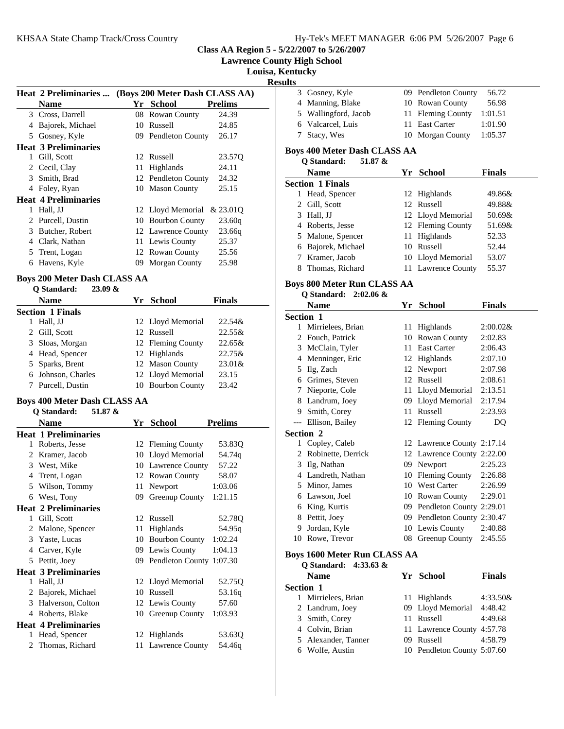**Lawrence County High School**

**Louisa, Kentucky**

| esuu<br>ç |
|-----------|
|-----------|

|   | <b>Heat 2 Preliminaries </b> | (Boys 200 Meter Dash CLASS AA) |                     |                |  |
|---|------------------------------|--------------------------------|---------------------|----------------|--|
|   | Name                         |                                | Yr School           | <b>Prelims</b> |  |
|   | 3 Cross, Darrell             |                                | 08 Rowan County     | 24.39          |  |
| 4 | Bajorek, Michael             | 10                             | Russell             | 24.85          |  |
|   | 5 Gosney, Kyle               |                                | 09 Pendleton County | 26.17          |  |
|   | <b>Heat 3 Preliminaries</b>  |                                |                     |                |  |
| 1 | Gill, Scott                  |                                | 12 Russell          | 23.57Q         |  |
|   | 2 Cecil, Clay                |                                | 11 Highlands        | 24.11          |  |
| 3 | Smith, Brad                  |                                | 12 Pendleton County | 24.32          |  |
|   | 4 Foley, Ryan                |                                | 10 Mason County     | 25.15          |  |
|   | <b>Heat 4 Preliminaries</b>  |                                |                     |                |  |
| 1 | Hall, JJ                     |                                | 12 Lloyd Memorial   | & 23.010       |  |
| 2 | Purcell, Dustin              |                                | 10 Bourbon County   | 23.60q         |  |
| 3 | Butcher, Robert              |                                | 12 Lawrence County  | 23.66q         |  |
| 4 | Clark, Nathan                |                                | 11 Lewis County     | 25.37          |  |
| 5 | Trent, Logan                 |                                | 12 Rowan County     | 25.56          |  |
| 6 | Havens, Kyle                 |                                | 09 Morgan County    | 25.98          |  |

#### **Boys 200 Meter Dash CLASS AA Q Standard: 23.09 &**

| O Standard:<br>23.VY OX |                   |               |
|-------------------------|-------------------|---------------|
| <b>Name</b>             | Yr School         | <b>Finals</b> |
| <b>Section 1 Finals</b> |                   |               |
| Hall, JJ                | 12 Lloyd Memorial | 22.54&        |
| 2 Gill, Scott           | 12 Russell        | $22.55\&$     |
| 3 Sloas, Morgan         | 12 Fleming County | 22.65&        |
| 4 Head, Spencer         | 12 Highlands      | 22.75&        |
| 5 Sparks, Brent         | 12 Mason County   | $23.01\&$     |
| 6 Johnson, Charles      | 12 Lloyd Memorial | 23.15         |
| Purcell, Dustin         | 10 Bourbon County | 23.42         |
|                         |                   |               |

## **Boys 400 Meter Dash CLASS AA**

|              | Q Standard:<br>51.87 &      |    |                             |                |
|--------------|-----------------------------|----|-----------------------------|----------------|
|              | <b>Name</b>                 | Yr | <b>School</b>               | <b>Prelims</b> |
|              | <b>Heat 1 Preliminaries</b> |    |                             |                |
| 1            | Roberts, Jesse              |    | 12 Fleming County           | 53.83Q         |
| 2            | Kramer, Jacob               |    | 10 Lloyd Memorial           | 54.74g         |
| 3            | West, Mike                  |    | 10 Lawrence County          | 57.22          |
| 4            | Trent, Logan                |    | 12 Rowan County             | 58.07          |
| 5            | Wilson, Tommy               | 11 | Newport                     | 1:03.06        |
| 6            | West, Tony                  | 09 | Greenup County              | 1:21.15        |
|              | <b>Heat 2 Preliminaries</b> |    |                             |                |
| $\mathbf{1}$ | Gill, Scott                 | 12 | Russell                     | 52.78Q         |
| 2            | Malone, Spencer             | 11 | Highlands                   | 54.95q         |
| 3            | Yaste, Lucas                |    | 10 Bourbon County           | 1:02.24        |
| 4            | Carver, Kyle                |    | 09 Lewis County             | 1:04.13        |
| 5            | Pettit, Joey                |    | 09 Pendleton County 1:07.30 |                |
|              | <b>Heat 3 Preliminaries</b> |    |                             |                |
| 1            | Hall, JJ                    |    | 12 Lloyd Memorial           | 52.75Q         |
| 2            | Bajorek, Michael            | 10 | Russell                     | 53.16q         |
| 3            | Halverson, Colton           |    | 12 Lewis County             | 57.60          |
| 4            | Roberts, Blake              |    | 10 Greenup County           | 1:03.93        |
|              | <b>Heat 4 Preliminaries</b> |    |                             |                |
| 1            | Head, Spencer               |    | 12 Highlands                | 53.63Q         |
| 2            | Thomas, Richard             | 11 | Lawrence County             | 54.46g         |
|              |                             |    |                             |                |

| 3 Gosney, Kyle       | 09 Pendleton County | 56.72   |
|----------------------|---------------------|---------|
| 4 Manning, Blake     | 10 Rowan County     | 56.98   |
| 5 Wallingford, Jacob | 11 Fleming County   | 1:01.51 |
| 6 Valcarcel, Luis    | 11 East Carter      | 1:01.90 |
| 7 Stacy, Wes         | 10 Morgan County    | 1:05.37 |

# **Boys 400 Meter Dash CLASS AA**

**Q Standard: 51.87 &**

| 51.87 &<br>O Standard:  |  |                    |               |  |  |
|-------------------------|--|--------------------|---------------|--|--|
| <b>Name</b>             |  | Yr School          | <b>Finals</b> |  |  |
| <b>Section 1 Finals</b> |  |                    |               |  |  |
| Head, Spencer<br>L      |  | 12 Highlands       | 49.86&        |  |  |
| 2 Gill, Scott           |  | 12 Russell         | 49.88&        |  |  |
| Hall, JJ<br>3           |  | 12 Lloyd Memorial  | 50.69&        |  |  |
| 4 Roberts, Jesse        |  | 12 Fleming County  | 51.69&        |  |  |
| 5 Malone, Spencer       |  | 11 Highlands       | 52.33         |  |  |
| Bajorek, Michael<br>6   |  | 10 Russell         | 52.44         |  |  |
| 7 Kramer, Jacob         |  | 10 Lloyd Memorial  | 53.07         |  |  |
| Thomas, Richard         |  | 11 Lawrence County | 55.37         |  |  |
|                         |  |                    |               |  |  |

# **Boys 800 Meter Run CLASS AA**

## **Q Standard: 2:02.06 &**

|                  | <b>Name</b>        |    | Yr School                   | <b>Finals</b> |
|------------------|--------------------|----|-----------------------------|---------------|
| <b>Section 1</b> |                    |    |                             |               |
| 1                | Mirrielees, Brian  | 11 | Highlands                   | $2:00.02$ &   |
| 2                | Fouch, Patrick     | 10 | Rowan County                | 2:02.83       |
| 3                | McClain, Tyler     | 11 | <b>East Carter</b>          | 2:06.43       |
| 4                | Menninger, Eric    | 12 | Highlands                   | 2:07.10       |
| 5                | Ilg, Zach          | 12 | Newport                     | 2:07.98       |
| 6                | Grimes, Steven     | 12 | Russell                     | 2:08.61       |
| 7                | Nieporte, Cole     | 11 | Lloyd Memorial 2:13.51      |               |
| 8                | Landrum, Joey      |    | 09 Lloyd Memorial 2:17.94   |               |
| 9                | Smith, Corey       | 11 | Russell                     | 2:23.93       |
|                  | Ellison, Bailey    |    | 12 Fleming County           | DQ            |
| <b>Section 2</b> |                    |    |                             |               |
| 1                | Copley, Caleb      |    | 12 Lawrence County 2:17.14  |               |
| 2                | Robinette, Derrick |    | 12 Lawrence County 2:22.00  |               |
| 3                | Ilg, Nathan        | 09 | Newport                     | 2:25.23       |
| 4                | Landreth, Nathan   |    | 10 Fleming County           | 2:26.88       |
| 5                | Minor, James       |    | 10 West Carter              | 2:26.99       |
| 6                | Lawson, Joel       | 10 | Rowan County                | 2:29.01       |
| 6                | King, Kurtis       |    | 09 Pendleton County 2:29.01 |               |
| 8                | Pettit, Joey       |    | 09 Pendleton County 2:30.47 |               |
| 9                | Jordan, Kyle       |    | 10 Lewis County             | 2:40.88       |
| 10               | Rowe, Trevor       | 08 | Greenup County              | 2:45.55       |

## **Boys 1600 Meter Run CLASS AA**

**Q Standard: 4:33.63 &**

|                  | <b>Name</b>         |               | Yr School                   | <b>Finals</b> |
|------------------|---------------------|---------------|-----------------------------|---------------|
| <b>Section 1</b> |                     |               |                             |               |
|                  | 1 Mirrielees, Brian |               | 11 Highlands                | $4:33.50\&$   |
|                  | 2 Landrum, Joey     |               | 09 Lloyd Memorial           | 4:48.42       |
|                  | 3 Smith, Corey      |               | 11 Russell                  | 4:49.68       |
|                  | 4 Colvin, Brian     |               | 11 Lawrence County 4:57.78  |               |
|                  | 5 Alexander, Tanner | $(9^{\circ})$ | Russell                     | 4:58.79       |
|                  | 6 Wolfe, Austin     |               | 10 Pendleton County 5:07.60 |               |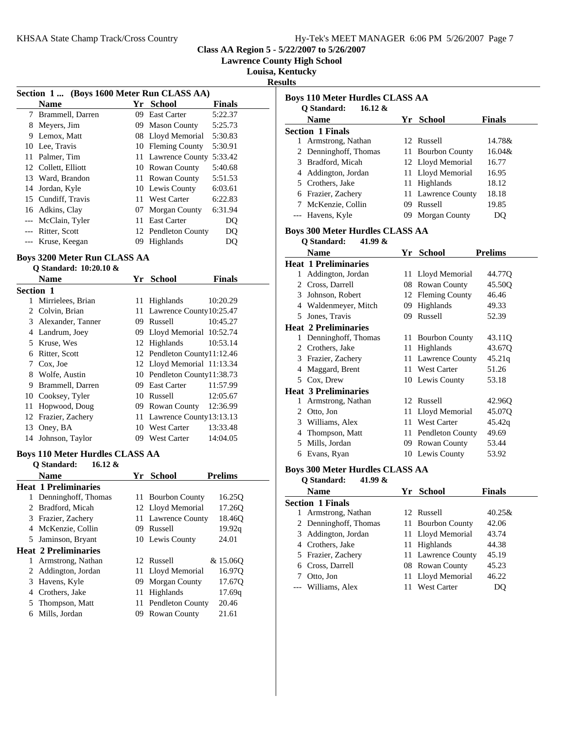**Lawrence County High School**

**Louisa, Kentucky**

**Results**

| Section 1 (Boys 1600 Meter Run CLASS AA) |                     |     |                     |               |
|------------------------------------------|---------------------|-----|---------------------|---------------|
|                                          | <b>Name</b>         | Yr  | School              | <b>Finals</b> |
| 7                                        | Brammell, Darren    | 09  | <b>East Carter</b>  | 5:22.37       |
| 8                                        | Meyers, Jim         | 09  | <b>Mason County</b> | 5:25.73       |
| 9                                        | Lemox, Matt         |     | 08 Lloyd Memorial   | 5:30.83       |
| 10                                       | Lee, Travis         |     | 10 Fleming County   | 5:30.91       |
| 11                                       | Palmer, Tim         |     | 11 Lawrence County  | 5:33.42       |
|                                          | 12 Collett, Elliott |     | 10 Rowan County     | 5:40.68       |
|                                          | 13 Ward, Brandon    |     | 11 Rowan County     | 5:51.53       |
| 14                                       | Jordan, Kyle        |     | 10 Lewis County     | 6:03.61       |
|                                          | 15 Cundiff, Travis  | 11. | West Carter         | 6:22.83       |
|                                          | 16 Adkins, Clay     |     | 07 Morgan County    | 6:31.94       |
|                                          | --- McClain, Tyler  | 11  | <b>East Carter</b>  | DO            |
|                                          | Ritter, Scott       |     | 12 Pendleton County | DO            |
|                                          | Kruse, Keegan       | 09  | Highlands           | DO            |

#### **Boys 3200 Meter Run CLASS AA Q Standard: 10:20.10 &**

|                  | $\vee$ biancing. To $\infty$ |    |                             |               |
|------------------|------------------------------|----|-----------------------------|---------------|
|                  | <b>Name</b>                  |    | Yr School                   | <b>Finals</b> |
| <b>Section 1</b> |                              |    |                             |               |
| 1                | Mirrielees, Brian            | 11 | Highlands                   | 10:20.29      |
|                  | 2 Colvin, Brian              |    | 11 Lawrence County 10:25.47 |               |
| 3                | Alexander, Tanner            | 09 | Russell                     | 10:45.27      |
| 4                | Landrum, Joey                |    | 09 Lloyd Memorial 10:52.74  |               |
| 5                | Kruse, Wes                   |    | 12 Highlands                | 10:53.14      |
| 6                | Ritter, Scott                |    | 12 Pendleton County11:12.46 |               |
| 7                | Cox, Joe                     |    | 12 Lloyd Memorial 11:13.34  |               |
| 8                | Wolfe, Austin                |    | 10 Pendleton County11:38.73 |               |
| 9                | Brammell, Darren             |    | 09 East Carter              | 11:57.99      |
|                  | 10 Cooksey, Tyler            |    | 10 Russell                  | 12:05.67      |
| 11               | Hopwood, Doug                |    | 09 Rowan County             | 12:36.99      |
|                  | 12 Frazier, Zachery          |    | 11 Lawrence County 13:13.13 |               |
| 13               | Oney, BA                     |    | 10 West Carter              | 13:33.48      |
| 14               | Johnson, Taylor              | 09 | <b>West Carter</b>          | 14:04.05      |
|                  |                              |    |                             |               |

## **Boys 110 Meter Hurdles CLASS AA**

| <b>Prelims</b> |
|----------------|
|                |
| 16.25Q         |
| 17.260         |
| 18.46Q         |
| 19.92q         |
| 24.01          |
|                |
| & 15.060       |
| 16.970         |
| 17.670         |
| 17.69q         |
| 20.46          |
| 21.61          |
|                |

| <b>Name</b><br>Yr School<br><b>Finals</b><br><b>Section 1 Finals</b><br>Armstrong, Nathan<br>14.78&<br>1<br>12 Russell<br>2 Denninghoff, Thomas<br><b>Bourbon County</b><br>16.04&<br>11-<br>Bradford, Micah<br>12 Lloyd Memorial<br>3<br>16.77<br>11 Lloyd Memorial<br>4 Addington, Jordan<br>16.95<br>5 Crothers, Jake<br>Highlands<br>11<br>18.12<br>6 Frazier, Zachery<br>Lawrence County<br>18.18<br>11-<br>7 McKenzie, Collin<br>09<br>Russell<br>19.85<br>--- Havens, Kyle<br>Morgan County<br>09.<br>DQ<br><b>Boys 300 Meter Hurdles CLASS AA</b><br>Q Standard:<br>41.99 &<br>Name<br>Yr School<br><b>Prelims</b><br>Addington, Jordan<br>11 Lloyd Memorial<br>44.77Q<br>1<br>2 Cross, Darrell<br>08 Rowan County<br>45.500<br>3 Johnson, Robert<br>12 Fleming County<br>46.46<br>09 Highlands<br>49.33<br>4 Waldenmeyer, Mitch<br>09 Russell<br>5 Jones, Travis<br>52.39<br>1 Denninghoff, Thomas<br><b>Bourbon County</b><br>11-<br>43.11Q<br>2 Crothers, Jake<br>Highlands<br>43.67Q<br>11-<br>3 Frazier, Zachery<br>Lawrence County<br>45.21q<br>11-<br>Maggard, Brent<br><b>West Carter</b><br>51.26<br>4<br>11<br>5 Cox, Drew<br>10 Lewis County<br>53.18<br>Armstrong, Nathan<br>12 Russell<br>42.96Q<br>1<br>2 Otto, Jon<br>11 Lloyd Memorial<br>45.07Q<br>3 Williams, Alex<br>11 West Carter<br>45.42q<br>49.69<br>4 Thompson, Matt<br>11 Pendleton County<br>Mills, Jordan<br>53.44<br>5<br>09 Rowan County<br>6 Evans, Ryan<br>10 Lewis County<br>53.92<br><b>Boys 300 Meter Hurdles CLASS AA</b><br>Q Standard:<br>41.99 &<br>Name<br>Yr School<br>Finals<br><b>Section 1 Finals</b><br>Armstrong, Nathan<br>12 Russell<br>40.25&<br>1<br>2<br>Denninghoff, Thomas<br>11<br><b>Bourbon County</b><br>42.06<br>3<br>Addington, Jordan<br>Lloyd Memorial<br>43.74<br>11<br>Highlands<br>4 Crothers, Jake<br>11<br>44.38<br>Frazier, Zachery<br>Lawrence County<br>5<br>11-<br>45.19<br>6 Cross, Darrell<br>08 Rowan County<br>45.23<br>7 Otto, Jon<br>Lloyd Memorial<br>46.22<br>11<br>Williams, Alex<br><b>West Carter</b><br>DQ<br>11 | <b>Boys 110 Meter Hurdles CLASS AA</b><br>O Standard:<br>$16.12 \&$ |  |  |  |  |
|------------------------------------------------------------------------------------------------------------------------------------------------------------------------------------------------------------------------------------------------------------------------------------------------------------------------------------------------------------------------------------------------------------------------------------------------------------------------------------------------------------------------------------------------------------------------------------------------------------------------------------------------------------------------------------------------------------------------------------------------------------------------------------------------------------------------------------------------------------------------------------------------------------------------------------------------------------------------------------------------------------------------------------------------------------------------------------------------------------------------------------------------------------------------------------------------------------------------------------------------------------------------------------------------------------------------------------------------------------------------------------------------------------------------------------------------------------------------------------------------------------------------------------------------------------------------------------------------------------------------------------------------------------------------------------------------------------------------------------------------------------------------------------------------------------------------------------------------------------------------------------------------------------------------------------------------------------------------------------------------------------------------------------------------------------|---------------------------------------------------------------------|--|--|--|--|
|                                                                                                                                                                                                                                                                                                                                                                                                                                                                                                                                                                                                                                                                                                                                                                                                                                                                                                                                                                                                                                                                                                                                                                                                                                                                                                                                                                                                                                                                                                                                                                                                                                                                                                                                                                                                                                                                                                                                                                                                                                                            |                                                                     |  |  |  |  |
|                                                                                                                                                                                                                                                                                                                                                                                                                                                                                                                                                                                                                                                                                                                                                                                                                                                                                                                                                                                                                                                                                                                                                                                                                                                                                                                                                                                                                                                                                                                                                                                                                                                                                                                                                                                                                                                                                                                                                                                                                                                            |                                                                     |  |  |  |  |
|                                                                                                                                                                                                                                                                                                                                                                                                                                                                                                                                                                                                                                                                                                                                                                                                                                                                                                                                                                                                                                                                                                                                                                                                                                                                                                                                                                                                                                                                                                                                                                                                                                                                                                                                                                                                                                                                                                                                                                                                                                                            |                                                                     |  |  |  |  |
|                                                                                                                                                                                                                                                                                                                                                                                                                                                                                                                                                                                                                                                                                                                                                                                                                                                                                                                                                                                                                                                                                                                                                                                                                                                                                                                                                                                                                                                                                                                                                                                                                                                                                                                                                                                                                                                                                                                                                                                                                                                            |                                                                     |  |  |  |  |
|                                                                                                                                                                                                                                                                                                                                                                                                                                                                                                                                                                                                                                                                                                                                                                                                                                                                                                                                                                                                                                                                                                                                                                                                                                                                                                                                                                                                                                                                                                                                                                                                                                                                                                                                                                                                                                                                                                                                                                                                                                                            |                                                                     |  |  |  |  |
|                                                                                                                                                                                                                                                                                                                                                                                                                                                                                                                                                                                                                                                                                                                                                                                                                                                                                                                                                                                                                                                                                                                                                                                                                                                                                                                                                                                                                                                                                                                                                                                                                                                                                                                                                                                                                                                                                                                                                                                                                                                            |                                                                     |  |  |  |  |
|                                                                                                                                                                                                                                                                                                                                                                                                                                                                                                                                                                                                                                                                                                                                                                                                                                                                                                                                                                                                                                                                                                                                                                                                                                                                                                                                                                                                                                                                                                                                                                                                                                                                                                                                                                                                                                                                                                                                                                                                                                                            |                                                                     |  |  |  |  |
|                                                                                                                                                                                                                                                                                                                                                                                                                                                                                                                                                                                                                                                                                                                                                                                                                                                                                                                                                                                                                                                                                                                                                                                                                                                                                                                                                                                                                                                                                                                                                                                                                                                                                                                                                                                                                                                                                                                                                                                                                                                            |                                                                     |  |  |  |  |
|                                                                                                                                                                                                                                                                                                                                                                                                                                                                                                                                                                                                                                                                                                                                                                                                                                                                                                                                                                                                                                                                                                                                                                                                                                                                                                                                                                                                                                                                                                                                                                                                                                                                                                                                                                                                                                                                                                                                                                                                                                                            |                                                                     |  |  |  |  |
|                                                                                                                                                                                                                                                                                                                                                                                                                                                                                                                                                                                                                                                                                                                                                                                                                                                                                                                                                                                                                                                                                                                                                                                                                                                                                                                                                                                                                                                                                                                                                                                                                                                                                                                                                                                                                                                                                                                                                                                                                                                            |                                                                     |  |  |  |  |
|                                                                                                                                                                                                                                                                                                                                                                                                                                                                                                                                                                                                                                                                                                                                                                                                                                                                                                                                                                                                                                                                                                                                                                                                                                                                                                                                                                                                                                                                                                                                                                                                                                                                                                                                                                                                                                                                                                                                                                                                                                                            |                                                                     |  |  |  |  |
|                                                                                                                                                                                                                                                                                                                                                                                                                                                                                                                                                                                                                                                                                                                                                                                                                                                                                                                                                                                                                                                                                                                                                                                                                                                                                                                                                                                                                                                                                                                                                                                                                                                                                                                                                                                                                                                                                                                                                                                                                                                            |                                                                     |  |  |  |  |
|                                                                                                                                                                                                                                                                                                                                                                                                                                                                                                                                                                                                                                                                                                                                                                                                                                                                                                                                                                                                                                                                                                                                                                                                                                                                                                                                                                                                                                                                                                                                                                                                                                                                                                                                                                                                                                                                                                                                                                                                                                                            |                                                                     |  |  |  |  |
|                                                                                                                                                                                                                                                                                                                                                                                                                                                                                                                                                                                                                                                                                                                                                                                                                                                                                                                                                                                                                                                                                                                                                                                                                                                                                                                                                                                                                                                                                                                                                                                                                                                                                                                                                                                                                                                                                                                                                                                                                                                            | <b>Heat 1 Preliminaries</b>                                         |  |  |  |  |
|                                                                                                                                                                                                                                                                                                                                                                                                                                                                                                                                                                                                                                                                                                                                                                                                                                                                                                                                                                                                                                                                                                                                                                                                                                                                                                                                                                                                                                                                                                                                                                                                                                                                                                                                                                                                                                                                                                                                                                                                                                                            |                                                                     |  |  |  |  |
|                                                                                                                                                                                                                                                                                                                                                                                                                                                                                                                                                                                                                                                                                                                                                                                                                                                                                                                                                                                                                                                                                                                                                                                                                                                                                                                                                                                                                                                                                                                                                                                                                                                                                                                                                                                                                                                                                                                                                                                                                                                            |                                                                     |  |  |  |  |
|                                                                                                                                                                                                                                                                                                                                                                                                                                                                                                                                                                                                                                                                                                                                                                                                                                                                                                                                                                                                                                                                                                                                                                                                                                                                                                                                                                                                                                                                                                                                                                                                                                                                                                                                                                                                                                                                                                                                                                                                                                                            |                                                                     |  |  |  |  |
|                                                                                                                                                                                                                                                                                                                                                                                                                                                                                                                                                                                                                                                                                                                                                                                                                                                                                                                                                                                                                                                                                                                                                                                                                                                                                                                                                                                                                                                                                                                                                                                                                                                                                                                                                                                                                                                                                                                                                                                                                                                            |                                                                     |  |  |  |  |
|                                                                                                                                                                                                                                                                                                                                                                                                                                                                                                                                                                                                                                                                                                                                                                                                                                                                                                                                                                                                                                                                                                                                                                                                                                                                                                                                                                                                                                                                                                                                                                                                                                                                                                                                                                                                                                                                                                                                                                                                                                                            |                                                                     |  |  |  |  |
|                                                                                                                                                                                                                                                                                                                                                                                                                                                                                                                                                                                                                                                                                                                                                                                                                                                                                                                                                                                                                                                                                                                                                                                                                                                                                                                                                                                                                                                                                                                                                                                                                                                                                                                                                                                                                                                                                                                                                                                                                                                            | <b>Heat 2 Preliminaries</b>                                         |  |  |  |  |
|                                                                                                                                                                                                                                                                                                                                                                                                                                                                                                                                                                                                                                                                                                                                                                                                                                                                                                                                                                                                                                                                                                                                                                                                                                                                                                                                                                                                                                                                                                                                                                                                                                                                                                                                                                                                                                                                                                                                                                                                                                                            |                                                                     |  |  |  |  |
|                                                                                                                                                                                                                                                                                                                                                                                                                                                                                                                                                                                                                                                                                                                                                                                                                                                                                                                                                                                                                                                                                                                                                                                                                                                                                                                                                                                                                                                                                                                                                                                                                                                                                                                                                                                                                                                                                                                                                                                                                                                            |                                                                     |  |  |  |  |
|                                                                                                                                                                                                                                                                                                                                                                                                                                                                                                                                                                                                                                                                                                                                                                                                                                                                                                                                                                                                                                                                                                                                                                                                                                                                                                                                                                                                                                                                                                                                                                                                                                                                                                                                                                                                                                                                                                                                                                                                                                                            |                                                                     |  |  |  |  |
|                                                                                                                                                                                                                                                                                                                                                                                                                                                                                                                                                                                                                                                                                                                                                                                                                                                                                                                                                                                                                                                                                                                                                                                                                                                                                                                                                                                                                                                                                                                                                                                                                                                                                                                                                                                                                                                                                                                                                                                                                                                            |                                                                     |  |  |  |  |
|                                                                                                                                                                                                                                                                                                                                                                                                                                                                                                                                                                                                                                                                                                                                                                                                                                                                                                                                                                                                                                                                                                                                                                                                                                                                                                                                                                                                                                                                                                                                                                                                                                                                                                                                                                                                                                                                                                                                                                                                                                                            |                                                                     |  |  |  |  |
|                                                                                                                                                                                                                                                                                                                                                                                                                                                                                                                                                                                                                                                                                                                                                                                                                                                                                                                                                                                                                                                                                                                                                                                                                                                                                                                                                                                                                                                                                                                                                                                                                                                                                                                                                                                                                                                                                                                                                                                                                                                            | <b>Heat 3 Preliminaries</b>                                         |  |  |  |  |
|                                                                                                                                                                                                                                                                                                                                                                                                                                                                                                                                                                                                                                                                                                                                                                                                                                                                                                                                                                                                                                                                                                                                                                                                                                                                                                                                                                                                                                                                                                                                                                                                                                                                                                                                                                                                                                                                                                                                                                                                                                                            |                                                                     |  |  |  |  |
|                                                                                                                                                                                                                                                                                                                                                                                                                                                                                                                                                                                                                                                                                                                                                                                                                                                                                                                                                                                                                                                                                                                                                                                                                                                                                                                                                                                                                                                                                                                                                                                                                                                                                                                                                                                                                                                                                                                                                                                                                                                            |                                                                     |  |  |  |  |
|                                                                                                                                                                                                                                                                                                                                                                                                                                                                                                                                                                                                                                                                                                                                                                                                                                                                                                                                                                                                                                                                                                                                                                                                                                                                                                                                                                                                                                                                                                                                                                                                                                                                                                                                                                                                                                                                                                                                                                                                                                                            |                                                                     |  |  |  |  |
|                                                                                                                                                                                                                                                                                                                                                                                                                                                                                                                                                                                                                                                                                                                                                                                                                                                                                                                                                                                                                                                                                                                                                                                                                                                                                                                                                                                                                                                                                                                                                                                                                                                                                                                                                                                                                                                                                                                                                                                                                                                            |                                                                     |  |  |  |  |
|                                                                                                                                                                                                                                                                                                                                                                                                                                                                                                                                                                                                                                                                                                                                                                                                                                                                                                                                                                                                                                                                                                                                                                                                                                                                                                                                                                                                                                                                                                                                                                                                                                                                                                                                                                                                                                                                                                                                                                                                                                                            |                                                                     |  |  |  |  |
|                                                                                                                                                                                                                                                                                                                                                                                                                                                                                                                                                                                                                                                                                                                                                                                                                                                                                                                                                                                                                                                                                                                                                                                                                                                                                                                                                                                                                                                                                                                                                                                                                                                                                                                                                                                                                                                                                                                                                                                                                                                            |                                                                     |  |  |  |  |
|                                                                                                                                                                                                                                                                                                                                                                                                                                                                                                                                                                                                                                                                                                                                                                                                                                                                                                                                                                                                                                                                                                                                                                                                                                                                                                                                                                                                                                                                                                                                                                                                                                                                                                                                                                                                                                                                                                                                                                                                                                                            |                                                                     |  |  |  |  |
|                                                                                                                                                                                                                                                                                                                                                                                                                                                                                                                                                                                                                                                                                                                                                                                                                                                                                                                                                                                                                                                                                                                                                                                                                                                                                                                                                                                                                                                                                                                                                                                                                                                                                                                                                                                                                                                                                                                                                                                                                                                            |                                                                     |  |  |  |  |
|                                                                                                                                                                                                                                                                                                                                                                                                                                                                                                                                                                                                                                                                                                                                                                                                                                                                                                                                                                                                                                                                                                                                                                                                                                                                                                                                                                                                                                                                                                                                                                                                                                                                                                                                                                                                                                                                                                                                                                                                                                                            |                                                                     |  |  |  |  |
|                                                                                                                                                                                                                                                                                                                                                                                                                                                                                                                                                                                                                                                                                                                                                                                                                                                                                                                                                                                                                                                                                                                                                                                                                                                                                                                                                                                                                                                                                                                                                                                                                                                                                                                                                                                                                                                                                                                                                                                                                                                            |                                                                     |  |  |  |  |
|                                                                                                                                                                                                                                                                                                                                                                                                                                                                                                                                                                                                                                                                                                                                                                                                                                                                                                                                                                                                                                                                                                                                                                                                                                                                                                                                                                                                                                                                                                                                                                                                                                                                                                                                                                                                                                                                                                                                                                                                                                                            |                                                                     |  |  |  |  |
|                                                                                                                                                                                                                                                                                                                                                                                                                                                                                                                                                                                                                                                                                                                                                                                                                                                                                                                                                                                                                                                                                                                                                                                                                                                                                                                                                                                                                                                                                                                                                                                                                                                                                                                                                                                                                                                                                                                                                                                                                                                            |                                                                     |  |  |  |  |
|                                                                                                                                                                                                                                                                                                                                                                                                                                                                                                                                                                                                                                                                                                                                                                                                                                                                                                                                                                                                                                                                                                                                                                                                                                                                                                                                                                                                                                                                                                                                                                                                                                                                                                                                                                                                                                                                                                                                                                                                                                                            |                                                                     |  |  |  |  |
|                                                                                                                                                                                                                                                                                                                                                                                                                                                                                                                                                                                                                                                                                                                                                                                                                                                                                                                                                                                                                                                                                                                                                                                                                                                                                                                                                                                                                                                                                                                                                                                                                                                                                                                                                                                                                                                                                                                                                                                                                                                            |                                                                     |  |  |  |  |
|                                                                                                                                                                                                                                                                                                                                                                                                                                                                                                                                                                                                                                                                                                                                                                                                                                                                                                                                                                                                                                                                                                                                                                                                                                                                                                                                                                                                                                                                                                                                                                                                                                                                                                                                                                                                                                                                                                                                                                                                                                                            |                                                                     |  |  |  |  |
|                                                                                                                                                                                                                                                                                                                                                                                                                                                                                                                                                                                                                                                                                                                                                                                                                                                                                                                                                                                                                                                                                                                                                                                                                                                                                                                                                                                                                                                                                                                                                                                                                                                                                                                                                                                                                                                                                                                                                                                                                                                            |                                                                     |  |  |  |  |
|                                                                                                                                                                                                                                                                                                                                                                                                                                                                                                                                                                                                                                                                                                                                                                                                                                                                                                                                                                                                                                                                                                                                                                                                                                                                                                                                                                                                                                                                                                                                                                                                                                                                                                                                                                                                                                                                                                                                                                                                                                                            |                                                                     |  |  |  |  |
|                                                                                                                                                                                                                                                                                                                                                                                                                                                                                                                                                                                                                                                                                                                                                                                                                                                                                                                                                                                                                                                                                                                                                                                                                                                                                                                                                                                                                                                                                                                                                                                                                                                                                                                                                                                                                                                                                                                                                                                                                                                            |                                                                     |  |  |  |  |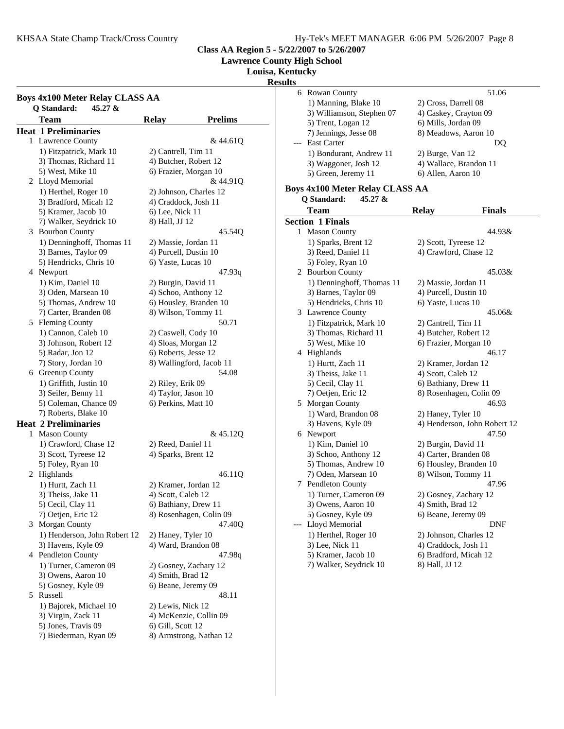**Lawrence County High School**

#### **Louisa, Kentucky**

**Results**

|   | <b>Boys 4x100 Meter Relay CLASS AA</b><br>Q Standard:<br>45.27 & |                       |                          |
|---|------------------------------------------------------------------|-----------------------|--------------------------|
|   | <b>Team</b>                                                      | <b>Relay</b>          | <b>Prelims</b>           |
|   | <b>Heat 1 Preliminaries</b>                                      |                       |                          |
|   | 1 Lawrence County                                                |                       | & 44.610                 |
|   | 1) Fitzpatrick, Mark 10                                          | 2) Cantrell, Tim 11   |                          |
|   | 3) Thomas, Richard 11                                            | 4) Butcher, Robert 12 |                          |
|   | 5) West, Mike 10                                                 | 6) Frazier, Morgan 10 |                          |
|   | 2 Lloyd Memorial                                                 |                       | & 44.91Q                 |
|   | 1) Herthel, Roger 10                                             |                       | 2) Johnson, Charles 12   |
|   | 3) Bradford, Micah 12                                            | 4) Craddock, Josh 11  |                          |
|   | 5) Kramer, Jacob 10                                              | 6) Lee, Nick 11       |                          |
|   | 7) Walker, Seydrick 10                                           | 8) Hall, JJ 12        |                          |
|   | 3 Bourbon County                                                 |                       | 45.54Q                   |
|   | 1) Denninghoff, Thomas 11                                        | 2) Massie, Jordan 11  |                          |
|   | 3) Barnes, Taylor 09                                             | 4) Purcell, Dustin 10 |                          |
|   | 5) Hendricks, Chris 10                                           |                       |                          |
|   |                                                                  | 6) Yaste, Lucas 10    |                          |
|   | 4 Newport                                                        |                       | 47.93q                   |
|   | 1) Kim, Daniel 10                                                | 2) Burgin, David 11   |                          |
|   | 3) Oden, Marsean 10                                              | 4) Schoo, Anthony 12  |                          |
|   | 5) Thomas, Andrew 10                                             |                       | 6) Housley, Branden 10   |
|   | 7) Carter, Branden 08                                            | 8) Wilson, Tommy 11   |                          |
|   | 5 Fleming County                                                 |                       | 50.71                    |
|   | 1) Cannon, Caleb 10                                              | 2) Caswell, Cody 10   |                          |
|   | 3) Johnson, Robert 12                                            | 4) Sloas, Morgan 12   |                          |
|   | 5) Radar, Jon 12                                                 | 6) Roberts, Jesse 12  |                          |
|   | 7) Story, Jordan 10                                              |                       | 8) Wallingford, Jacob 11 |
|   | 6 Greenup County                                                 |                       | 54.08                    |
|   | 1) Griffith, Justin 10                                           | 2) Riley, Erik 09     |                          |
|   | 3) Seiler, Benny 11                                              | 4) Taylor, Jason 10   |                          |
|   | 5) Coleman, Chance 09                                            | 6) Perkins, Matt 10   |                          |
|   | 7) Roberts, Blake 10                                             |                       |                          |
|   | <b>Heat 2 Preliminaries</b>                                      |                       |                          |
| 1 | <b>Mason County</b>                                              |                       | &45.12Q                  |
|   | 1) Crawford, Chase 12                                            | 2) Reed, Daniel 11    |                          |
|   | 3) Scott, Tyreese 12                                             | 4) Sparks, Brent 12   |                          |
|   | 5) Foley, Ryan 10                                                |                       |                          |
|   | 2 Highlands                                                      |                       | 46.11Q                   |
|   | 1) Hurtt, Zach 11                                                | 2) Kramer, Jordan 12  |                          |
|   | 3) Theiss, Jake 11                                               | 4) Scott, Caleb 12    |                          |
|   | 5) Cecil, Clay 11                                                | 6) Bathiany, Drew 11  |                          |
|   | 7) Oetjen, Eric 12                                               |                       | 8) Rosenhagen, Colin 09  |
| 3 | Morgan County                                                    |                       | 47.40Q                   |
|   | 1) Henderson, John Robert 12                                     | 2) Haney, Tyler 10    |                          |
|   | 3) Havens, Kyle 09                                               | 4) Ward, Brandon 08   |                          |
|   | 4 Pendleton County                                               |                       | 47.98q                   |
|   | 1) Turner, Cameron 09                                            |                       | 2) Gosney, Zachary 12    |
|   | 3) Owens, Aaron 10                                               | 4) Smith, Brad 12     |                          |
|   | 5) Gosney, Kyle 09                                               | 6) Beane, Jeremy 09   |                          |
|   | 5 Russell                                                        |                       | 48.11                    |
|   | 1) Bajorek, Michael 10                                           | 2) Lewis, Nick 12     |                          |
|   | 3) Virgin, Zack 11                                               |                       | 4) McKenzie, Collin 09   |
|   | 5) Jones, Travis 09                                              | 6) Gill, Scott 12     |                          |
|   | 7) Biederman, Ryan 09                                            |                       | 8) Armstrong, Nathan 12  |
|   |                                                                  |                       |                          |

| ults |                                       |                              |  |
|------|---------------------------------------|------------------------------|--|
|      | 6 Rowan County                        | 51.06                        |  |
|      | 1) Manning, Blake 10                  | 2) Cross, Darrell 08         |  |
|      | 3) Williamson, Stephen 07             | 4) Caskey, Crayton 09        |  |
|      | 5) Trent, Logan 12                    | 6) Mills, Jordan 09          |  |
|      | 7) Jennings, Jesse 08                 | 8) Meadows, Aaron 10         |  |
| ---  | <b>East Carter</b>                    | DQ                           |  |
|      | 1) Bondurant, Andrew 11               | 2) Burge, Van 12             |  |
|      | 3) Waggoner, Josh 12                  | 4) Wallace, Brandon 11       |  |
|      | 5) Green, Jeremy 11                   | 6) Allen, Aaron 10           |  |
|      |                                       |                              |  |
|      | Boys 4x100 Meter Relay CLASS AA       |                              |  |
|      | Q Standard:<br>45.27 $\&$             |                              |  |
|      | <b>Team</b>                           | <b>Relay</b><br>Finals       |  |
|      | <b>Section 1 Finals</b>               |                              |  |
| 1.   | <b>Mason County</b>                   | 44.93&                       |  |
|      | 1) Sparks, Brent 12                   | 2) Scott, Tyreese 12         |  |
|      | 3) Reed, Daniel 11                    | 4) Crawford, Chase 12        |  |
|      |                                       |                              |  |
|      | 5) Foley, Ryan 10<br>2 Bourbon County | 45.03&                       |  |
|      |                                       |                              |  |
|      | 1) Denninghoff, Thomas 11             | 2) Massie, Jordan 11         |  |
|      | 3) Barnes, Taylor 09                  | 4) Purcell, Dustin 10        |  |
|      | 5) Hendricks, Chris 10                | 6) Yaste, Lucas 10           |  |
|      | 3 Lawrence County                     | 45.06&                       |  |
|      | 1) Fitzpatrick, Mark 10               | 2) Cantrell, Tim 11          |  |
|      | 3) Thomas, Richard 11                 | 4) Butcher, Robert 12        |  |
|      | 5) West, Mike 10                      | 6) Frazier, Morgan 10        |  |
|      | 4 Highlands                           | 46.17                        |  |
|      | 1) Hurtt, Zach 11                     | 2) Kramer, Jordan 12         |  |
|      | 3) Theiss, Jake 11                    | 4) Scott, Caleb 12           |  |
|      | 5) Cecil, Clay 11                     | 6) Bathiany, Drew 11         |  |
|      | 7) Oetjen, Eric 12                    | 8) Rosenhagen, Colin 09      |  |
|      | 5 Morgan County                       | 46.93                        |  |
|      | 1) Ward, Brandon 08                   | 2) Haney, Tyler 10           |  |
|      | 3) Havens, Kyle 09                    | 4) Henderson, John Robert 12 |  |
|      | 6 Newport                             | 47.50                        |  |
|      | 1) Kim, Daniel 10                     | 2) Burgin, David 11          |  |
|      | 3) Schoo, Anthony 12                  | 4) Carter, Branden 08        |  |
|      | 5) Thomas, Andrew 10                  | 6) Housley, Branden 10       |  |
|      | 7) Oden, Marsean 10                   | 8) Wilson, Tommy 11          |  |
|      | 7 Pendleton County                    | 47.96                        |  |
|      | 1) Turner, Cameron 09                 | 2) Gosney, Zachary 12        |  |
|      | 3) Owens, Aaron 10                    | 4) Smith, Brad 12            |  |
|      | 5) Gosney, Kyle 09                    | 6) Beane, Jeremy 09          |  |
| ---  | Lloyd Memorial                        | DNF                          |  |
|      | 1) Herthel, Roger 10                  | 2) Johnson, Charles 12       |  |
|      | 3) Lee, Nick 11                       | 4) Craddock, Josh 11         |  |
|      | 5) Kramer, Jacob 10                   | 6) Bradford, Micah 12        |  |
|      | 7) Walker, Seydrick 10                | 8) Hall, JJ 12               |  |
|      |                                       |                              |  |
|      |                                       |                              |  |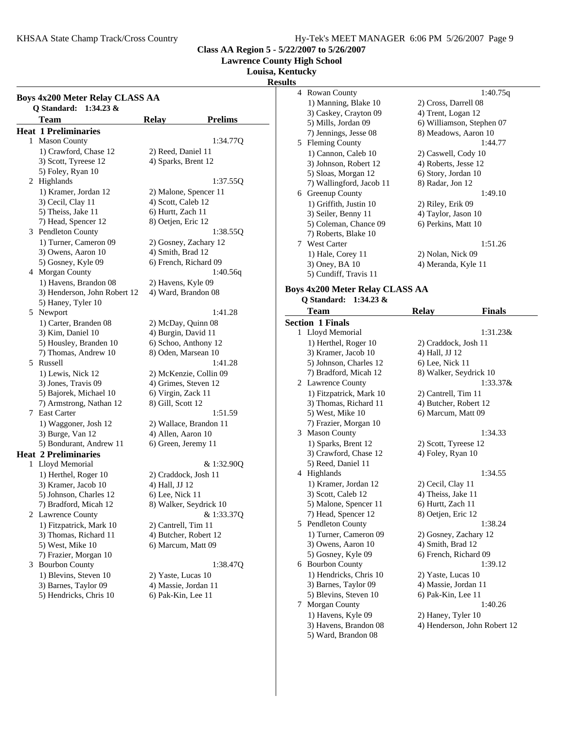KHSAA State Champ Track/Cross Country The Manuscript Hy-Tek's MEET MANAGER 6:06 PM 5/26/2007 Page 9

**Class AA Region 5 - 5/22/2007 to 5/26/2007**

**Lawrence County High School**

**Louisa, Kentucky**

**Results**

### **Boys 4x200 Meter Relay CLASS AA Q Standard: 1:34.23 &** Team Relay **Prelims Heat 1 Preliminaries** 1 Mason County 1:34.77Q 1) Crawford, Chase 12 2) Reed, Daniel 11 3) Scott, Tyreese 12 4) Sparks, Brent 12 5) Foley, Ryan 10 2 1:37.55Q Highlands 1) Kramer, Jordan 12 2) Malone, Spencer 11 3) Cecil, Clay 11 4) Scott, Caleb 12 5) Theiss, Jake 11 6) Hurtt, Zach 11 7) Head, Spencer 12 8) Oetjen, Eric 12 3 Pendleton County 1:38.55Q 1) Turner, Cameron 09 2) Gosney, Zachary 12  $3)$  Owens, Aaron  $10$   $4)$  Smith, Brad  $12$ 5) Gosney, Kyle 09 6) French, Richard 09 4 Morgan County 1:40.56q 1) Havens, Brandon 08 2) Havens, Kyle 09 3) Henderson, John Robert 12 4) Ward, Brandon 08 5) Haney, Tyler 10 5 1:41.28 Newport 1) Carter, Branden 08 2) McDay, Quinn 08 3) Kim, Daniel 10 4) Burgin, David 11 5) Housley, Branden 10 6) Schoo, Anthony 12 7) Thomas, Andrew 10 8) Oden, Marsean 10 5 1:41.28 Russell 1) Lewis, Nick 12 2) McKenzie, Collin 09 3) Jones, Travis 09 4) Grimes, Steven 12 5) Bajorek, Michael 10 6) Virgin, Zack 11 7) Armstrong, Nathan 12 8) Gill, Scott 12 7 1:51.59 East Carter 1) Waggoner, Josh 12 2) Wallace, Brandon 11 3) Burge, Van 12 4) Allen, Aaron 10 5) Bondurant, Andrew 11 6) Green, Jeremy 11 **Heat 2 Preliminaries** 1 Lloyd Memorial  $\&$  1:32.90Q 1) Herthel, Roger 10 2) Craddock, Josh 11 3) Kramer, Jacob 10 4) Hall, JJ 12 5) Johnson, Charles 12 6) Lee, Nick 11 7) Bradford, Micah 12 8) Walker, Seydrick 10 2 Lawrence County  $\&$  1:33.370 1) Fitzpatrick, Mark 10 2) Cantrell, Tim 11 3) Thomas, Richard 11 4) Butcher, Robert 12 5) West, Mike 10 6) Marcum, Matt 09 7) Frazier, Morgan 10 3 1:38.47Q Bourbon County 1) Blevins, Steven 10 2) Yaste, Lucas 10 3) Barnes, Taylor 09 4) Massie, Jordan 11

5) Hendricks, Chris 10 6) Pak-Kin, Lee 11

| 4 | <b>Rowan County</b>      | 1:40.75q                  |
|---|--------------------------|---------------------------|
|   | 1) Manning, Blake 10     | 2) Cross, Darrell 08      |
|   | 3) Caskey, Crayton 09    | 4) Trent, Logan 12        |
|   | 5) Mills, Jordan 09      | 6) Williamson, Stephen 07 |
|   | 7) Jennings, Jesse 08    | 8) Meadows, Aaron 10      |
|   | 5 Fleming County         | 1:44.77                   |
|   | 1) Cannon, Caleb 10      | 2) Caswell, Cody 10       |
|   | 3) Johnson, Robert 12    | 4) Roberts, Jesse 12      |
|   | 5) Sloas, Morgan 12      | 6) Story, Jordan 10       |
|   | 7) Wallingford, Jacob 11 | 8) Radar, Jon 12          |
| 6 | Greenup County           | 1:49.10                   |
|   | 1) Griffith, Justin 10   | 2) Riley, Erik 09         |
|   | 3) Seiler, Benny 11      | 4) Taylor, Jason 10       |
|   | 5) Coleman, Chance 09    | 6) Perkins, Matt 10       |
|   | 7) Roberts, Blake 10     |                           |
|   | 7 West Carter            | 1:51.26                   |
|   | 1) Hale, Corey 11        | 2) Nolan, Nick 09         |
|   | 3) Oney, BA 10           | 4) Meranda, Kyle 11       |
|   | 5) Cundiff, Travis 11    |                           |

#### **Boys 4x200 Meter Relay CLASS AA Q Standard: 1:34.23 &**

|   | Team                    | <b>Relay</b>           | <b>Finals</b>                |
|---|-------------------------|------------------------|------------------------------|
|   | <b>Section 1 Finals</b> |                        |                              |
|   | 1 Lloyd Memorial        |                        | 1:31.23&                     |
|   | 1) Herthel, Roger 10    | 2) Craddock, Josh 11   |                              |
|   | 3) Kramer, Jacob 10     | 4) Hall, JJ 12         |                              |
|   | 5) Johnson, Charles 12  | 6) Lee, Nick 11        |                              |
|   | 7) Bradford, Micah 12   | 8) Walker, Seydrick 10 |                              |
|   | 2 Lawrence County       |                        | $1:33.37\&$                  |
|   | 1) Fitzpatrick, Mark 10 | 2) Cantrell, Tim 11    |                              |
|   | 3) Thomas, Richard 11   | 4) Butcher, Robert 12  |                              |
|   | 5) West, Mike 10        | 6) Marcum, Matt 09     |                              |
|   | 7) Frazier, Morgan 10   |                        |                              |
|   | 3 Mason County          |                        | 1:34.33                      |
|   | 1) Sparks, Brent 12     | 2) Scott, Tyreese 12   |                              |
|   | 3) Crawford, Chase 12   | 4) Foley, Ryan 10      |                              |
|   | 5) Reed, Daniel 11      |                        |                              |
|   | 4 Highlands             |                        | 1:34.55                      |
|   | 1) Kramer, Jordan 12    | 2) Cecil, Clay 11      |                              |
|   | 3) Scott, Caleb 12      | 4) Theiss, Jake 11     |                              |
|   | 5) Malone, Spencer 11   | 6) Hurtt, Zach 11      |                              |
|   | 7) Head, Spencer 12     | 8) Oetjen, Eric 12     |                              |
|   | 5 Pendleton County      |                        | 1:38.24                      |
|   | 1) Turner, Cameron 09   | 2) Gosney, Zachary 12  |                              |
|   | 3) Owens, Aaron 10      | 4) Smith, Brad 12      |                              |
|   | 5) Gosney, Kyle 09      | 6) French, Richard 09  |                              |
|   | 6 Bourbon County        |                        | 1:39.12                      |
|   | 1) Hendricks, Chris 10  | 2) Yaste, Lucas 10     |                              |
|   | 3) Barnes, Taylor 09    | 4) Massie, Jordan 11   |                              |
|   | 5) Blevins, Steven 10   | 6) Pak-Kin, Lee 11     |                              |
| 7 | <b>Morgan County</b>    |                        | 1:40.26                      |
|   | 1) Havens, Kyle 09      | 2) Haney, Tyler 10     |                              |
|   | 3) Havens, Brandon 08   |                        | 4) Henderson, John Robert 12 |
|   | 5) Ward, Brandon 08     |                        |                              |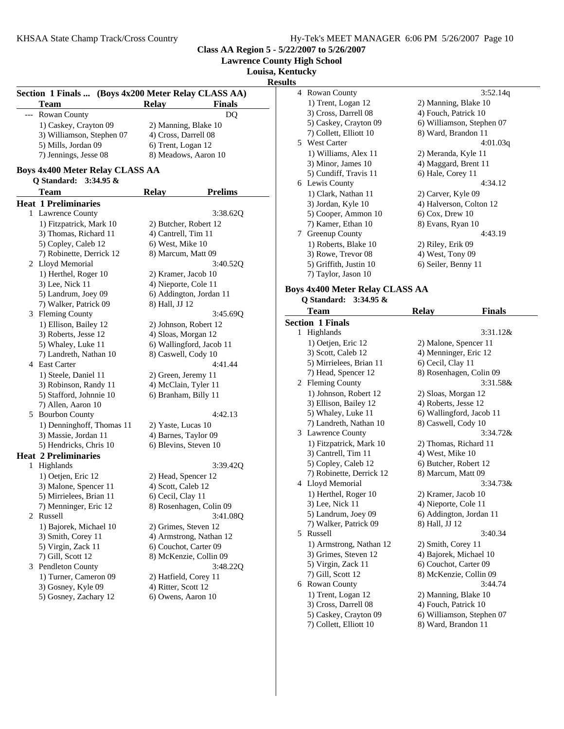**Lawrence County High School**

**Louisa, Kentucky**

**Results**

|   | <b>Team</b>                            | Section 1 Finals  (Boys 4x200 Meter Relay CLASS AA)<br><b>Relay</b><br><b>Finals</b> |
|---|----------------------------------------|--------------------------------------------------------------------------------------|
|   | Rowan County                           | DQ                                                                                   |
|   | 1) Caskey, Crayton 09                  | 2) Manning, Blake 10                                                                 |
|   | 3) Williamson, Stephen 07              | 4) Cross, Darrell 08                                                                 |
|   | 5) Mills, Jordan 09                    | 6) Trent, Logan 12                                                                   |
|   | 7) Jennings, Jesse 08                  | 8) Meadows, Aaron 10                                                                 |
|   | <b>Boys 4x400 Meter Relay CLASS AA</b> |                                                                                      |
|   | Q Standard:<br>$3:34.95 \&$            |                                                                                      |
|   | Team                                   | <b>Relay</b><br><b>Prelims</b>                                                       |
|   | <b>Heat 1 Preliminaries</b>            |                                                                                      |
| 1 | <b>Lawrence County</b>                 | 3:38.62Q                                                                             |
|   | 1) Fitzpatrick, Mark 10                | 2) Butcher, Robert 12                                                                |
|   | 3) Thomas, Richard 11                  | 4) Cantrell, Tim 11                                                                  |
|   | 5) Copley, Caleb 12                    | 6) West, Mike 10                                                                     |
|   | 7) Robinette, Derrick 12               | 8) Marcum, Matt 09                                                                   |
|   | 2 Lloyd Memorial                       | 3:40.52Q                                                                             |
|   | 1) Herthel, Roger 10                   | 2) Kramer, Jacob 10                                                                  |
|   | 3) Lee, Nick 11                        | 4) Nieporte, Cole 11                                                                 |
|   | 5) Landrum, Joey 09                    | 6) Addington, Jordan 11                                                              |
|   | 7) Walker, Patrick 09                  | 8) Hall, JJ 12                                                                       |
|   | 3 Fleming County                       | 3:45.69Q                                                                             |
|   | 1) Ellison, Bailey 12                  | 2) Johnson, Robert 12                                                                |
|   | 3) Roberts, Jesse 12                   | 4) Sloas, Morgan 12                                                                  |
|   | 5) Whaley, Luke 11                     | 6) Wallingford, Jacob 11                                                             |
|   | 7) Landreth, Nathan 10                 | 8) Caswell, Cody 10                                                                  |
|   | 4 East Carter                          | 4:41.44                                                                              |
|   | 1) Steele, Daniel 11                   | 2) Green, Jeremy 11                                                                  |
|   | 3) Robinson, Randy 11                  | 4) McClain, Tyler 11                                                                 |
|   | 5) Stafford, Johnnie 10                | 6) Branham, Billy 11                                                                 |
|   | 7) Allen, Aaron 10                     |                                                                                      |
|   | 5 Bourbon County                       | 4:42.13                                                                              |
|   | 1) Denninghoff, Thomas 11              | 2) Yaste, Lucas 10                                                                   |
|   | 3) Massie, Jordan 11                   | 4) Barnes, Taylor 09                                                                 |
|   | 5) Hendricks, Chris 10                 | 6) Blevins, Steven 10                                                                |
|   | <b>Heat 2 Preliminaries</b>            |                                                                                      |
| 1 | Highlands                              | 3:39.42Q                                                                             |
|   | 1) Oetjen, Eric 12                     | 2) Head, Spencer 12                                                                  |
|   | 3) Malone, Spencer 11                  | 4) Scott, Caleb 12                                                                   |
|   | 5) Mirrielees, Brian 11                | 6) Cecil, Clay 11                                                                    |
|   | 7) Menninger, Eric 12                  | 8) Rosenhagen, Colin 09                                                              |
| 2 | Russell                                | 3:41.08Q                                                                             |
|   | 1) Bajorek, Michael 10                 | 2) Grimes, Steven 12                                                                 |
|   | 3) Smith, Corey 11                     | 4) Armstrong, Nathan 12                                                              |
|   | 5) Virgin, Zack 11                     | 6) Couchot, Carter 09                                                                |
|   | 7) Gill, Scott 12                      | 8) McKenzie, Collin 09                                                               |
|   | 3 Pendleton County                     | 3:48.22Q                                                                             |
|   | 1) Turner, Cameron 09                  | 2) Hatfield, Corey 11                                                                |
|   | 3) Gosney, Kyle 09                     | 4) Ritter, Scott 12                                                                  |
|   | 5) Gosney, Zachary 12                  | 6) Owens, Aaron 10                                                                   |
|   |                                        |                                                                                      |

| ults |                                                 |                                                  |  |
|------|-------------------------------------------------|--------------------------------------------------|--|
| 4    | Rowan County                                    | 3:52.14q                                         |  |
|      | 1) Trent, Logan 12                              | 2) Manning, Blake 10                             |  |
|      | 3) Cross, Darrell 08                            | 4) Fouch, Patrick 10                             |  |
|      | 5) Caskey, Crayton 09                           | 6) Williamson, Stephen 07                        |  |
|      | 7) Collett, Elliott 10                          | 8) Ward, Brandon 11                              |  |
|      | 5 West Carter                                   | 4:01.03q                                         |  |
|      | 1) Williams, Alex 11                            | 2) Meranda, Kyle 11                              |  |
|      | 3) Minor, James 10                              | 4) Maggard, Brent 11                             |  |
|      | 5) Cundiff, Travis 11                           | 6) Hale, Corey 11                                |  |
|      | 6 Lewis County                                  | 4:34.12                                          |  |
|      | 1) Clark, Nathan 11                             | 2) Carver, Kyle 09                               |  |
|      | 3) Jordan, Kyle 10                              | 4) Halverson, Colton 12                          |  |
|      | 5) Cooper, Ammon 10                             | $6)$ Cox, Drew 10                                |  |
|      | 7) Kamer, Ethan 10                              | 8) Evans, Ryan 10                                |  |
|      | 7 Greenup County                                | 4:43.19                                          |  |
|      | 1) Roberts, Blake 10                            | 2) Riley, Erik 09                                |  |
|      | 3) Rowe, Trevor 08                              | 4) West, Tony 09                                 |  |
|      | 5) Griffith, Justin 10                          | 6) Seiler, Benny 11                              |  |
|      | 7) Taylor, Jason 10                             |                                                  |  |
|      | <b>Boys 4x400 Meter Relay CLASS AA</b>          |                                                  |  |
|      | O Standard:<br>$3:34.95 \&$                     |                                                  |  |
|      | Team                                            | <b>Relay</b><br>Finals                           |  |
|      | <b>Section 1 Finals</b>                         |                                                  |  |
|      | 1 Highlands                                     | 3:31.12&                                         |  |
|      | 1) Oetjen, Eric 12                              | 2) Malone, Spencer 11                            |  |
|      | 3) Scott, Caleb 12                              | 4) Menninger, Eric 12                            |  |
|      | 5) Mirrielees, Brian 11                         | 6) Cecil, Clay 11                                |  |
|      | 7) Head, Spencer 12                             | 8) Rosenhagen, Colin 09                          |  |
|      | 2 Fleming County                                | 3:31.58&                                         |  |
|      | 1) Johnson, Robert 12                           | 2) Sloas, Morgan 12                              |  |
|      | 3) Ellison, Bailey 12                           | 4) Roberts, Jesse 12                             |  |
|      | 5) Whaley, Luke 11                              | 6) Wallingford, Jacob 11                         |  |
|      | 7) Landreth, Nathan 10                          | 8) Caswell, Cody 10                              |  |
|      | 3 Lawrence County                               | 3:34.72&                                         |  |
|      | 1) Fitzpatrick, Mark 10                         | 2) Thomas, Richard 11                            |  |
|      | 3) Cantrell, Tim 11                             | 4) West, Mike 10                                 |  |
|      | 5) Copley, Caleb 12                             | 6) Butcher, Robert 12                            |  |
|      | 7) Robinette, Derrick 12                        | 8) Marcum, Matt 09                               |  |
|      | 4 Lloyd Memorial                                | 3:34.73&                                         |  |
|      | 1) Herthel, Roger 10                            | 2) Kramer, Jacob 10                              |  |
|      | 3) Lee, Nick 11                                 | 4) Nieporte, Cole 11                             |  |
|      | 5) Landrum, Joey 09                             | 6) Addington, Jordan 11                          |  |
|      | 7) Walker, Patrick 09                           | 8) Hall, JJ 12                                   |  |
|      | 5 Russell                                       | 3:40.34                                          |  |
|      | 1) Armstrong, Nathan 12                         | 2) Smith, Corey 11                               |  |
|      | 3) Grimes, Steven 12                            | 4) Bajorek, Michael 10                           |  |
|      | 5) Virgin, Zack 11                              | 6) Couchot, Carter 09                            |  |
|      | 7) Gill, Scott 12                               | 8) McKenzie, Collin 09                           |  |
|      | 6 Rowan County                                  | 3:44.74                                          |  |
|      | 1) Trent, Logan 12                              | 2) Manning, Blake 10                             |  |
|      | 3) Cross, Darrell 08                            | 4) Fouch, Patrick 10                             |  |
|      |                                                 |                                                  |  |
|      | 5) Caskey, Crayton 09<br>7) Collett, Elliott 10 | 6) Williamson, Stephen 07<br>8) Ward, Brandon 11 |  |